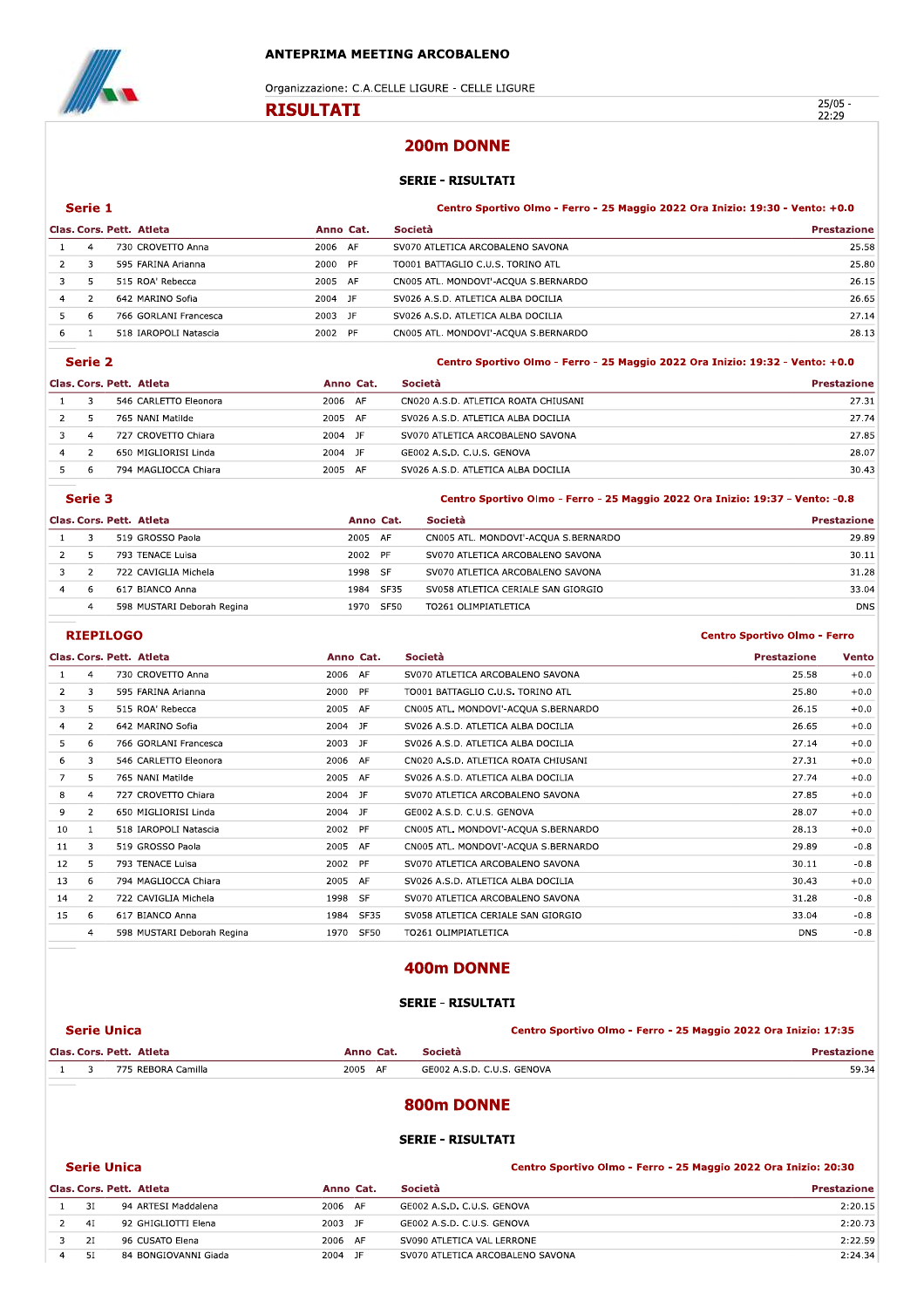

Centro Sportivo Olmo - Ferro

|                |                |                          |                  | <b>ANTEPRIMA MEETING ARCOBALENO</b>                                           |                    |
|----------------|----------------|--------------------------|------------------|-------------------------------------------------------------------------------|--------------------|
|                |                |                          |                  | Organizzazione: C.A.CELLE LIGURE - CELLE LIGURE                               |                    |
|                |                |                          | <b>RISULTATI</b> |                                                                               | $25/05 -$<br>22:29 |
|                |                |                          |                  | 200m DONNE                                                                    |                    |
|                |                |                          |                  | <b>SERIE - RISULTATI</b>                                                      |                    |
|                | Serie 1        |                          |                  | Centro Sportivo Olmo - Ferro - 25 Maggio 2022 Ora Inizio: 19:30 - Vento: +0.0 |                    |
|                |                | Clas. Cors. Pett. Atleta | Anno Cat.        | Società                                                                       | <b>Prestazione</b> |
| 1              | $\overline{4}$ | 730 CROVETTO Anna        | 2006 AF          | SV070 ATLETICA ARCOBALENO SAVONA                                              | 25.58              |
| $\overline{2}$ | 3              | 595 FARINA Arianna       | 2000 PF          | TO001 BATTAGLIO C.U.S. TORINO ATL                                             | 25.80              |
| 3              | 5              | 515 ROA' Rebecca         | 2005 AF          | CN005 ATL. MONDOVI'-ACQUA S.BERNARDO                                          | 26.15              |
| 4              | $\overline{2}$ | 642 MARINO Sofia         | 2004 JF          | SV026 A.S.D. ATLETICA ALBA DOCILIA                                            | 26.65              |
| 5              | 6              | 766 GORLANI Francesca    | 2003 JF          | SV026 A.S.D. ATLETICA ALBA DOCILIA                                            | 27.14              |
| 6              | 1              | 518 IAROPOLI Natascia    | 2002 PF          | CN005 ATL. MONDOVI'-ACQUA S.BERNARDO                                          | 28.13              |

Centro Sportivo Olmo - Ferro - 25 Maggio 2022 Ora Inizio: 19:32 - Vento: +0.0

|  | Clas. Cors. Pett. Atleta | <b>Società</b> | <b>Prestazione</b>                   |       |
|--|--------------------------|----------------|--------------------------------------|-------|
|  | 546 CARLETTO Eleonora    | 2006 AF        | CN020 A.S.D. ATLETICA ROATA CHIUSANI | 27.31 |
|  | 765 NANI Matilde         | 2005 AF        | SV026 A.S.D. ATLETICA ALBA DOCILIA   | 27.74 |
|  | 727 CROVETTO Chiara      | 2004<br>- JF   | SV070 ATLETICA ARCOBALENO SAVONA     | 27.85 |
|  | 650 MIGLIORISI Linda     | JF<br>2004     | GE002 A.S.D. C.U.S. GENOVA           | 28.07 |
|  | 794 MAGLIOCCA Chiara     | 2005<br>AF     | SV026 A.S.D. ATLETICA ALBA DOCILIA   | 30.43 |

|   | Serie 3      |                            |           |      | Centro Sportivo Olmo - Ferro - 25 Maggio 2022 Ora Inizio: 19:37 - Vento: -0.8 |                    |
|---|--------------|----------------------------|-----------|------|-------------------------------------------------------------------------------|--------------------|
|   |              | Clas. Cors. Pett. Atleta   | Anno Cat. |      | Società                                                                       | <b>Prestazione</b> |
|   |              | 519 GROSSO Paola           | 2005 AF   |      | CN005 ATL. MONDOVI'-ACOUA S.BERNARDO                                          | 29.89              |
|   |              | 793 TENACE Luisa           | 2002 PF   |      | SV070 ATLETICA ARCOBALENO SAVONA                                              | 30.11              |
|   |              | 722 CAVIGLIA Michela       | 1998 SF   |      | SV070 ATLETICA ARCOBALENO SAVONA                                              | 31.28              |
| 4 | $\mathsf{h}$ | 617 BIANCO Anna            | 1984      | SF35 | SV058 ATLETICA CERIALE SAN GIORGIO                                            | 33.04              |
|   |              | 598 MUSTARI Deborah Regina | 1970      | SF50 | TO261 OLIMPIATLETICA                                                          | <b>DNS</b>         |

### <u>KIEPILOGO ANNO 1999 - ANNO 1999 - ANNO 1999 - ANNO 1999 - ANNO 1999 - ANNO 1999 - ANNO 1999 - ANNO 1999 - ANN</u>

|    |                | Clas. Cors. Pett. Atleta   |         | Anno Cat. | Società                              | <b>Prestazione</b> | <b>Vento</b> |
|----|----------------|----------------------------|---------|-----------|--------------------------------------|--------------------|--------------|
|    | 4              | 730 CROVETTO Anna          | 2006 AF |           | SV070 ATLETICA ARCOBALENO SAVONA     | 25.58              | $+0.0$       |
| 2  | 3              | 595 FARINA Arianna         | 2000 PF |           | TO001 BATTAGLIO C.U.S. TORINO ATL    | 25.80              | $+0.0$       |
| 3  | 5              | 515 ROA' Rebecca           | 2005 AF |           | CN005 ATL. MONDOVI'-ACQUA S.BERNARDO | 26.15              | $+0.0$       |
| 4  | $\overline{2}$ | 642 MARINO Sofia           | 2004 JF |           | SV026 A.S.D. ATLETICA ALBA DOCILIA   | 26.65              | $+0.0$       |
| 5  | 6              | 766 GORLANI Francesca      | 2003 JF |           | SV026 A.S.D. ATLETICA ALBA DOCILIA   | 27.14              | $+0.0$       |
| 6  | 3              | 546 CARLETTO Eleonora      | 2006 AF |           | CN020 A.S.D. ATLETICA ROATA CHIUSANI | 27.31              | $+0.0$       |
|    | 5.             | 765 NANI Matilde           | 2005 AF |           | SV026 A.S.D. ATLETICA ALBA DOCILIA   | 27.74              | $+0.0$       |
| 8  | 4              | 727 CROVETTO Chiara        | 2004 JF |           | SV070 ATLETICA ARCOBALENO SAVONA     | 27.85              | $+0.0$       |
| 9  | $\overline{2}$ | 650 MIGLIORISI Linda       | 2004 JF |           | GE002 A.S.D. C.U.S. GENOVA           | 28.07              | $+0.0$       |
| 10 | -1             | 518 IAROPOLI Natascia      | 2002 PF |           | CN005 ATL. MONDOVI'-ACQUA S.BERNARDO | 28.13              | $+0.0$       |
| 11 | 3              | 519 GROSSO Paola           | 2005 AF |           | CN005 ATL. MONDOVI'-ACQUA S.BERNARDO | 29.89              | $-0.8$       |
| 12 | 5              | 793 TENACE Luisa           | 2002 PF |           | SV070 ATLETICA ARCOBALENO SAVONA     | 30.11              | $-0.8$       |
| 13 | 6              | 794 MAGLIOCCA Chiara       | 2005 AF |           | SV026 A.S.D. ATLETICA ALBA DOCILIA   | 30.43              | $+0.0$       |
| 14 | $\overline{2}$ | 722 CAVIGLIA Michela       | 1998 SF |           | SV070 ATLETICA ARCOBALENO SAVONA     | 31.28              | $-0.8$       |
| 15 | 6              | 617 BIANCO Anna            |         | 1984 SF35 | SV058 ATLETICA CERIALE SAN GIORGIO   | 33.04              | $-0.8$       |
|    | 4              | 598 MUSTARI Deborah Regina |         | 1970 SF50 | TO261 OLIMPIATLETICA                 | <b>DNS</b>         | $-0.8$       |

| 3              | 775 REBORA Camilla         |                                                | GE002 A.S.D. C.U.S. GENOVA                      |                                                                                                                                                        | 59.34                                                           |
|----------------|----------------------------|------------------------------------------------|-------------------------------------------------|--------------------------------------------------------------------------------------------------------------------------------------------------------|-----------------------------------------------------------------|
|                |                            |                                                | Società                                         |                                                                                                                                                        | <b>Prestazione</b>                                              |
|                |                            |                                                |                                                 |                                                                                                                                                        |                                                                 |
|                |                            |                                                |                                                 |                                                                                                                                                        |                                                                 |
|                |                            |                                                |                                                 |                                                                                                                                                        |                                                                 |
| $\overline{4}$ | 598 MUSTARI Deborah Regina | 1970                                           |                                                 | <b>DNS</b>                                                                                                                                             | $-0.8$                                                          |
| 6              | 617 BIANCO Anna            | 1984                                           |                                                 | 33.04                                                                                                                                                  | $-0.8$                                                          |
| $\overline{2}$ | 722 CAVIGLIA Michela       |                                                |                                                 | 31.28                                                                                                                                                  | $-0.8$                                                          |
|                |                            | <b>Serie Unica</b><br>Clas, Cors, Pett, Atleta | 1998 SF<br>SF35<br>SF50<br>Anno Cat.<br>2005 AF | SV070 ATLETICA ARCOBALENO SAVONA<br>SV058 ATLETICA CERIALE SAN GIORGIO<br>TO261 OLIMPIATLETICA<br>400m DONNE<br><b>SERIE - RISULTATI</b><br>800m DONNE | Centro Sportivo Olmo - Ferro - 25 Maggio 2022 Ora Inizio: 17:35 |

#### Centro Sportivo Olmo - Ferro - 25 Maggio 2022 Ora Inizio: 20:30

|   |    | <b>Serie Unica</b>       |            | Centro Sportivo Olmo - Ferro - 25 Maggio 2022 Ora Inizio: 17:35 |                                                                 |
|---|----|--------------------------|------------|-----------------------------------------------------------------|-----------------------------------------------------------------|
|   |    | Clas. Cors. Pett. Atleta | Anno Cat.  | Società                                                         | <b>Prestazione</b>                                              |
|   | 3  | 775 REBORA Camilla       | 2005 AF    | GE002 A.S.D. C.U.S. GENOVA                                      | 59.34                                                           |
|   |    |                          |            | 800m DONNE                                                      |                                                                 |
|   |    |                          |            | <b>SERIE - RISULTATI</b>                                        |                                                                 |
|   |    | <b>Serie Unica</b>       |            |                                                                 | Centro Sportivo Olmo - Ferro - 25 Maggio 2022 Ora Inizio: 20:30 |
|   |    | Clas, Cors, Pett, Atleta | Anno Cat.  | Società                                                         | <b>Prestazione</b>                                              |
|   | 3I | 94 ARTESI Maddalena      | 2006 AF    | GE002 A.S.D. C.U.S. GENOVA                                      | 2:20.15                                                         |
| 2 | 4I | 92 GHIGLIOTTI Elena      | 2003 JF    | GE002 A.S.D. C.U.S. GENOVA                                      | 2:20.73                                                         |
| 3 | 2I | 96 CUSATO Elena          | 2006 AF    | SV090 ATLETICA VAL LERRONE                                      | 2:22.59                                                         |
| 4 | 51 | 84 BONGIOVANNI Giada     | JF<br>2004 | SV070 ATLETICA ARCOBALENO SAVONA                                | 2:24.34                                                         |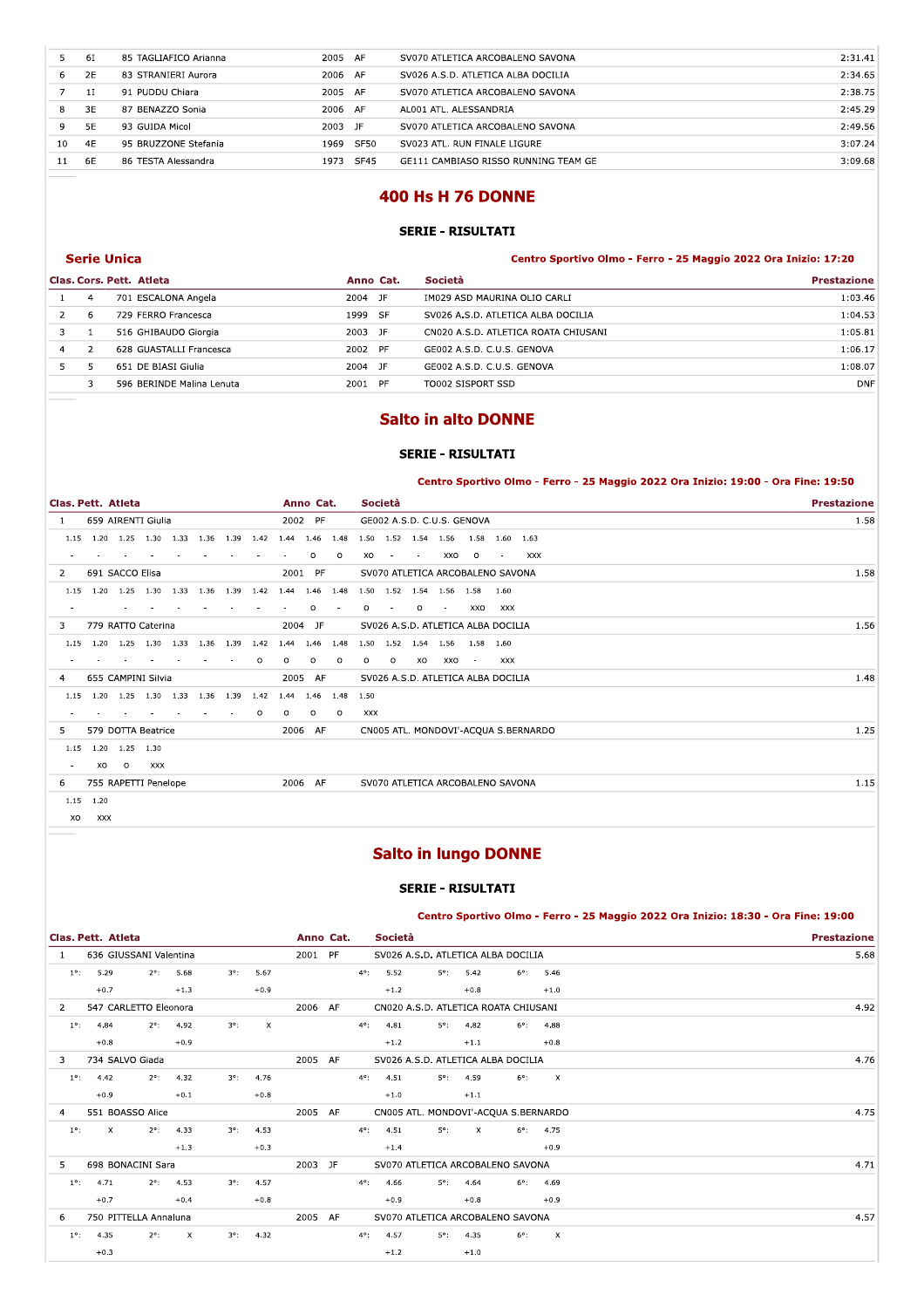|    | 61        | 85 TAGLIAFICO Arianna | 2005<br>AF          | SV070 ATLETICA ARCOBALENO SAVONA     | 2:31.41 |
|----|-----------|-----------------------|---------------------|--------------------------------------|---------|
| 6. | 2E        | 83 STRANIERI Aurora   | 2006 AF             | SV026 A.S.D. ATLETICA ALBA DOCILIA   | 2:34.65 |
|    |           | 91 PUDDU Chiara       | 2005 AF             | SV070 ATLETICA ARCOBALENO SAVONA     | 2:38.75 |
| 8  | 3E        | 87 BENAZZO Sonia      | 2006 AF             | AL001 ATL. ALESSANDRIA               | 2:45.29 |
| 9  | <b>5E</b> | 93 GUIDA Micol        | 2003<br>JF.         | SV070 ATLETICA ARCOBALENO SAVONA     | 2:49.56 |
| 10 | 4F        | 95 BRUZZONE Stefania  | <b>SF50</b><br>1969 | SV023 ATL. RUN FINALE LIGURE         | 3:07.24 |
| 11 | 6E        | 86 TESTA Alessandra   | <b>SF45</b><br>1973 | GE111 CAMBIASO RISSO RUNNING TEAM GE | 3:09.68 |
|    |           |                       |                     |                                      |         |

# **400 Hs H 76 DONNE**

### **SERIE - RISULTATI**

|   |               | <b>Serie Unica</b>        |           | Centro Sportivo Olmo - Ferro - 25 Maggio 2022 Ora Inizio: 17:20 |                    |
|---|---------------|---------------------------|-----------|-----------------------------------------------------------------|--------------------|
|   |               | Clas. Cors. Pett. Atleta  | Anno Cat. | <b>Società</b>                                                  | <b>Prestazione</b> |
|   | 4             | 701 ESCALONA Angela       | 2004 JF   | IM029 ASD MAURINA OLIO CARLI                                    | 1:03.46            |
|   | 6             | 729 FERRO Francesca       | 1999 SF   | SV026 A.S.D. ATLETICA ALBA DOCILIA                              | 1:04.53            |
|   |               | 516 GHIBAUDO Giorgia      | 2003 JF   | CN020 A.S.D. ATLETICA ROATA CHIUSANI                            | 1:05.81            |
| 4 | $\mathcal{L}$ | 628 GUASTALLI Francesca   | 2002 PF   | GE002 A.S.D. C.U.S. GENOVA                                      | 1:06.17            |
|   |               | 651 DE BIASI Giulia       | 2004 JF   | GE002 A.S.D. C.U.S. GENOVA                                      | 1:08.07            |
|   |               | 596 BERINDE Malina Lenuta | 2001 PF   | TO002 SISPORT SSD                                               | <b>DNF</b>         |
|   |               |                           |           |                                                                 |                    |

# **Salto in alto DONNE**

### **SERIE - RISULTATI**

# Centro Sportivo Olmo - Ferro - 25 Maggio 2022 Ora Inizio: 19:00 - Ora Fine: 19:50

| Clas. Pett. Atleta |             |                               |            |                          |      |      |         |                                                   | Anno Cat. |         |         | Società        |         |        |                                    |            |                                      | <b>Prestazione</b> |
|--------------------|-------------|-------------------------------|------------|--------------------------|------|------|---------|---------------------------------------------------|-----------|---------|---------|----------------|---------|--------|------------------------------------|------------|--------------------------------------|--------------------|
|                    |             | 659 AIRENTI Giulia            |            |                          |      |      |         |                                                   | 2002 PF   |         |         |                |         |        | GE002 A.S.D. C.U.S. GENOVA         |            |                                      | 1.58               |
| 1.15               |             | 1.20 1.25 1.30 1.33 1.36 1.39 |            |                          |      |      |         | 1.42 1.44 1.46 1.48 1.50 1.52 1.54 1.56 1.58 1.60 |           |         |         |                |         |        |                                    |            | 1.63                                 |                    |
|                    |             |                               |            |                          |      |      |         |                                                   | $\circ$   | $\circ$ | XO      | $\sim$         | $\sim$  | XXO    | $\circ$                            | $\sim$     | <b>XXX</b>                           |                    |
| 2                  |             | 691 SACCO Elisa               |            |                          |      |      |         |                                                   | 2001 PF   |         |         |                |         |        | SV070 ATLETICA ARCOBALENO SAVONA   |            |                                      | 1.58               |
| 1.15               | 1.20        | 1.25                          | 1.30       | 1.33                     | 1.36 | 1.39 |         | 1.42 1.44                                         | 1.46      | 1.48    |         | 1.50 1.52 1.54 |         | 1.56   | 1.58                               | 1.60       |                                      |                    |
|                    |             |                               |            |                          |      |      |         |                                                   | $\circ$   |         | $\circ$ |                | $\circ$ | $\sim$ | XXO                                | XXX        |                                      |                    |
| 3                  |             | 779 RATTO Caterina            |            |                          |      |      |         |                                                   | 2004 JF   |         |         |                |         |        | SV026 A.S.D. ATLETICA ALBA DOCILIA |            |                                      | 1.56               |
| 1.15               |             | 1.20 1.25 1.30 1.33 1.36      |            |                          |      | 1.39 | 1.42    | 1.44                                              | 1.46      | 1.48    |         |                |         |        | 1.50  1.52  1.54  1.56  1.58  1.60 |            |                                      |                    |
| $\sim$             |             |                               |            |                          |      |      | $\circ$ | $\circ$                                           | $\circ$   | $\circ$ | $\circ$ | $\circ$        | XO      | XXO    | $\sim$                             | <b>XXX</b> |                                      |                    |
| 4                  |             | 655 CAMPINI Silvia            |            |                          |      |      |         |                                                   | 2005 AF   |         |         |                |         |        | SV026 A.S.D. ATLETICA ALBA DOCILIA |            |                                      | 1.48               |
| 1.15               | 1.20        |                               |            | 1.25 1.30 1.33 1.36 1.39 |      |      |         | 1.42 1.44                                         | 1.46 1.48 |         | 1.50    |                |         |        |                                    |            |                                      |                    |
|                    |             |                               |            |                          |      |      | $\circ$ | $\circ$                                           | $\circ$   | $\circ$ | XXX     |                |         |        |                                    |            |                                      |                    |
| 5                  |             | 579 DOTTA Beatrice            |            |                          |      |      |         |                                                   | 2006 AF   |         |         |                |         |        |                                    |            | CN005 ATL. MONDOVI'-ACQUA S.BERNARDO | 1.25               |
| 1.15               |             | 1.20 1.25 1.30                |            |                          |      |      |         |                                                   |           |         |         |                |         |        |                                    |            |                                      |                    |
| $\sim$             | XO          | $\circ$                       | <b>XXX</b> |                          |      |      |         |                                                   |           |         |         |                |         |        |                                    |            |                                      |                    |
| 6                  |             | 755 RAPETTI Penelope          |            |                          |      |      |         |                                                   | 2006 AF   |         |         |                |         |        | SV070 ATLETICA ARCOBALENO SAVONA   |            |                                      | 1.15               |
|                    | $1.15$ 1.20 |                               |            |                          |      |      |         |                                                   |           |         |         |                |         |        |                                    |            |                                      |                    |

 $xo$   $xxx$ 

# **Salto in lungo DONNE**

## **SERIE - RISULTATI**

Centro Sportivo Olmo - Ferro - 25 Maggio 2022 Ora Inizio: 18:30 - Ora Fine: 19:00

|               | Clas. Pett. Atleta                                                    |               |                    |             |                           |         |                                               | Anno Cat.     | Società |  |               |                    |                                      | <b>Prestazione</b> |                    |      |
|---------------|-----------------------------------------------------------------------|---------------|--------------------|-------------|---------------------------|---------|-----------------------------------------------|---------------|---------|--|---------------|--------------------|--------------------------------------|--------------------|--------------------|------|
| $\mathbf{1}$  | 636 GIUSSANI Valentina                                                |               |                    |             |                           |         | 2001 PF<br>SV026 A.S.D. ATLETICA ALBA DOCILIA |               |         |  |               |                    |                                      |                    |                    | 5.68 |
|               | 5.29<br>$2^{\circ}$ :<br>5.68<br>$3^\circ$ :<br>5.67<br>$1^{\circ}$ : |               |                    |             |                           |         |                                               | $4^{\circ}$ : | 5.52    |  | $5^\circ$ :   | 5.42               | $6^{\circ}$ :                        |                    | 5.46               |      |
|               | $+0.7$                                                                |               | $+1.3$             |             | $+0.9$                    |         |                                               |               | $+1.2$  |  |               | $+0.8$             |                                      |                    | $+1.0$             |      |
| 2             | 547 CARLETTO Eleonora                                                 |               |                    |             |                           | 2006 AF |                                               |               |         |  |               |                    | CN020 A.S.D. ATLETICA ROATA CHIUSANI |                    |                    | 4.92 |
| $1^{\circ}$ : | 4.84                                                                  |               | $2^{\circ}$ : 4.92 | $3^\circ$ : | $\boldsymbol{\mathsf{x}}$ |         |                                               | $4^{\circ}$ : | 4.81    |  |               | $5^{\circ}$ : 4.82 |                                      |                    | $6^{\circ}$ : 4.88 |      |
|               | $+0.8$                                                                |               | $+0.9$             |             |                           |         |                                               |               | $+1.2$  |  |               | $+1.1$             |                                      |                    | $+0.8$             |      |
| 3.            | 734 SALVO Giada                                                       |               |                    |             |                           | 2005 AF |                                               |               |         |  |               |                    | SV026 A.S.D. ATLETICA ALBA DOCILIA   |                    |                    | 4.76 |
| $1^{\circ}$ : | 4.42                                                                  | $2^{\circ}$ : | 4.32               | $3^\circ$ : | 4.76                      |         |                                               | $4^{\circ}$ : | 4.51    |  | $5^{\circ}$ : | 4.59               | $6^{\circ}$ :                        |                    | $\mathsf{X}$       |      |
|               | $+0.9$                                                                |               | $+0.1$             |             | $+0.8$                    |         |                                               |               | $+1.0$  |  |               | $+1.1$             |                                      |                    |                    |      |
| 4             | 551 BOASSO Alice                                                      |               |                    |             |                           | 2005 AF |                                               |               |         |  |               |                    | CN005 ATL. MONDOVI'-ACQUA S.BERNARDO |                    |                    | 4.75 |
| $1^\circ$ :   | $\mathsf{X}$                                                          | $2^{\circ}$ : | 4.33               | $3^\circ$ : | 4.53                      |         |                                               | $4^{\circ}$ : | 4.51    |  | $5^\circ$ :   | $\chi$             | $6^{\circ}$ :                        |                    | 4.75               |      |
|               |                                                                       |               | $+1.3$             |             | $+0.3$                    |         |                                               |               | $+1.4$  |  |               |                    |                                      |                    | $+0.9$             |      |
| 5             | 698 BONACINI Sara                                                     |               |                    |             |                           | 2003 JF |                                               |               |         |  |               |                    | SV070 ATLETICA ARCOBALENO SAVONA     |                    |                    | 4.71 |
| $1^{\circ}$ : | 4.71                                                                  | $2^{\circ}$ : | 4.53               | $3^\circ$ : | 4.57                      |         |                                               | $4^{\circ}$ : | 4.66    |  | $5^\circ$ :   | 4.64               | $6^\circ$ :                          |                    | 4.69               |      |
|               | $+0.7$                                                                |               | $+0.4$             |             | $+0.8$                    |         |                                               |               | $+0.9$  |  |               | $+0.8$             |                                      |                    | $+0.9$             |      |
| 6             | 750 PITTELLA Annaluna                                                 |               |                    |             |                           | 2005 AF |                                               |               |         |  |               |                    | SV070 ATLETICA ARCOBALENO SAVONA     |                    |                    | 4.57 |
| $1^{\circ}$ : | 4.35                                                                  | $2^{\circ}$ : | x                  | $3^\circ$ : | 4.32                      |         |                                               | $4^\circ$ :   | 4.57    |  | $5^\circ$ :   | 4.35               | $6^\circ$ :                          |                    | $\mathbf{x}$       |      |
|               | $+0.3$                                                                |               |                    |             |                           |         |                                               |               | $+1.2$  |  |               | $+1.0$             |                                      |                    |                    |      |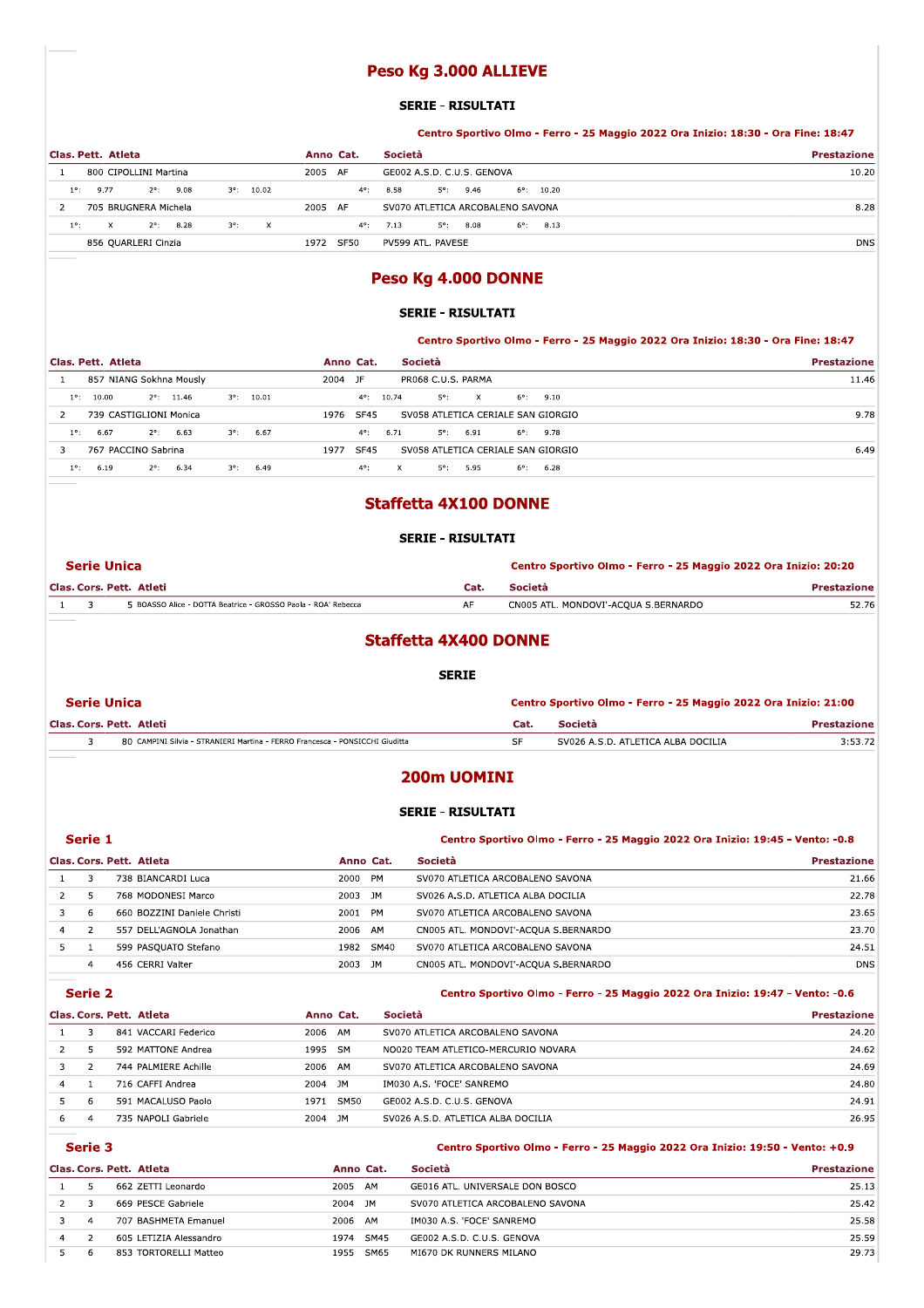# Peso Kg 3.000 ALLIEVE

#### **SERIE - RISULTATI**

### Centro Sportivo Olmo - Ferro - 25 Maggio 2022 Ora Inizio: 18:30 - Ora Fine: 18:47

| Clas. Pett. Atleta                                                     | Anno Cat.     | Società                                    | <b>Prestazione</b> |  |
|------------------------------------------------------------------------|---------------|--------------------------------------------|--------------------|--|
| 800 CIPOLLINI Martina                                                  | 2005 AF       | GE002 A.S.D. C.U.S. GENOVA                 | 10.20              |  |
| 9.77<br>$2^{\circ}$ :<br>9.08<br>10.02<br>$3^\circ$ :<br>$1^{\circ}$ : | $4^{\circ}$ : | $6^{\circ}$ : 10.20<br>8.58<br>5°:<br>9.46 |                    |  |
| 705 BRUGNERA Michela                                                   | 2005 AF       | SV070 ATLETICA ARCOBALENO SAVONA           | 8.28               |  |
| $2^{\circ}$ : 8.28<br>$1^{\circ}$<br>$3^\circ$ :<br>$\mathsf{X}$<br>X. | $4^{\circ}$ : | $5^{\circ}$ : 8.08<br>7.13<br>6°:<br>8.13  |                    |  |
| 856 QUARLERI Cinzia                                                    | SF50<br>1972  | PV599 ATL. PAVESE                          | <b>DNS</b>         |  |

# Peso Kg 4.000 DONNE

### **SERIE - RISULTATI**

Centro Sportivo Olmo - Ferro - 25 Maggio 2022 Ora Inizio: 18:30 - Ora Fine: 18:47

|               | Clas. Pett. Atleta |                         |                     |      | Anno Cat.           |       | Società                            |              |               |      | <b>Prestazione</b> |
|---------------|--------------------|-------------------------|---------------------|------|---------------------|-------|------------------------------------|--------------|---------------|------|--------------------|
|               |                    | 857 NIANG Sokhna Mously |                     |      | JF<br>2004          |       | PR068 C.U.S. PARMA                 |              |               |      | 11.46              |
| $1^{\circ}$ : | 10.00              | $2^{\circ}$ : 11.46     | $3^{\circ}$ : 10.01 |      | $4^{\circ}$ :       | 10.74 | $5^\circ$ :                        | $\mathbf{x}$ | $6^{\circ}$ : | 9.10 |                    |
|               |                    | 739 CASTIGLIONI Monica  |                     |      | 1976<br><b>SF45</b> |       | SV058 ATLETICA CERIALE SAN GIORGIO |              |               |      | 9.78               |
| $1^{\circ}$ : | 6.67               | $2^{\circ}$ :<br>6.63   | $3^\circ$ :         | 6.67 | $4^{\circ}$ :       | 6.71  | $5^\circ$ :                        | 6.91         | 6°:           | 9.78 |                    |
|               |                    | 767 PACCINO Sabrina     |                     |      | <b>SF45</b><br>1977 |       | SV058 ATLETICA CERIALE SAN GIORGIO |              |               |      | 6.49               |
| $1^{\circ}$   | 6.19               | 6.34<br>$2^{\circ}$ :   | $3^\circ$ :         | 6.49 | $4^{\circ}$ :       |       | $5^\circ$ :<br>X                   | 5.95         | 6°:           | 6.28 |                    |

# **Staffetta 4X100 DONNE**

### **SERIE - RISULTATI**

|  | <b>Serie Unica</b>                                            | Centro Sportivo Olmo - Ferro - 25 Maggio 2022 Ora Inizio: 20:20 |                                      |                    |
|--|---------------------------------------------------------------|-----------------------------------------------------------------|--------------------------------------|--------------------|
|  | Clas. Cors. Pett. Atleti                                      | Cat.                                                            | <b>Società</b>                       | <b>Prestazione</b> |
|  | 5 BOASSO Alice - DOTTA Beatrice - GROSSO Paola - ROA' Rebecca | AF                                                              | CN005 ATL. MONDOVI'-ACQUA S.BERNARDO | 52.76              |
|  |                                                               |                                                                 |                                      |                    |

## **Staffetta 4X400 DONNE**

#### **SERIE**

|  | Serie Unica                                                                  | Centro Sportivo Olmo - Ferro - 25 Maggio 2022 Ora Inizio: 21:00 |                                    |             |  |  |
|--|------------------------------------------------------------------------------|-----------------------------------------------------------------|------------------------------------|-------------|--|--|
|  | Clas. Cors. Pett. Atleti                                                     | Cat.                                                            | Società                            | Prestazione |  |  |
|  | 80 CAMPINI Silvia - STRANIERI Martina - FERRO Francesca - PONSICCHI Giuditta | -SF                                                             | SV026 A.S.D. ATLETICA ALBA DOCILIA | 3:53.72     |  |  |

### 200m UOMINI

#### **SERIE - RISULTATI**

|    | Serie 1 |                             |            | Centro Sportivo Olmo - Ferro - 25 Maggio 2022 Ora Inizio: 19:45 - Vento: -0.8 |                    |  |  |  |
|----|---------|-----------------------------|------------|-------------------------------------------------------------------------------|--------------------|--|--|--|
|    |         | Clas. Cors. Pett. Atleta    | Anno Cat.  | <b>Società</b>                                                                | <b>Prestazione</b> |  |  |  |
|    |         | 738 BIANCARDI Luca          | 2000 PM    | SV070 ATLETICA ARCOBALENO SAVONA                                              | 21.66              |  |  |  |
|    |         | 768 MODONESI Marco          | 2003 JM    | SV026 A.S.D. ATLETICA ALBA DOCILIA                                            | 22.78              |  |  |  |
|    | -6      | 660 BOZZINI Daniele Christi | 2001 PM    | SV070 ATLETICA ARCOBALENO SAVONA                                              | 23.65              |  |  |  |
| 4  |         | 557 DELL'AGNOLA Jonathan    | 2006 AM    | CN005 ATL. MONDOVI'-ACQUA S.BERNARDO                                          | 23.70              |  |  |  |
| 5. |         | 599 PASOUATO Stefano        | 1982 SM40  | SV070 ATLETICA ARCOBALENO SAVONA                                              | 24.51              |  |  |  |
|    | 4       | 456 CERRI Valter            | JM<br>2003 | CN005 ATL. MONDOVI'-ACQUA S.BERNARDO                                          | <b>DNS</b>         |  |  |  |

### Serie 2

### Centro Sportivo Olmo - Ferro - 25 Maggio 2022 Ora Inizio: 19:47 - Vento: -0.6

|   | Clas. Cors. Pett. Atleta |                      |         | Anno Cat. | Società                             | <b>Prestazione</b> |
|---|--------------------------|----------------------|---------|-----------|-------------------------------------|--------------------|
|   |                          | 841 VACCARI Federico | 2006    | AM        | SV070 ATLETICA ARCOBALENO SAVONA    | 24.20              |
|   |                          | 592 MATTONE Andrea   | 1995 SM |           | NO020 TEAM ATLETICO-MERCURIO NOVARA | 24.62              |
|   |                          | 744 PALMIERE Achille | 2006    | AM        | SV070 ATLETICA ARCOBALENO SAVONA    | 24.69              |
| 4 |                          | 716 CAFFI Andrea     | 2004    | JM.       | IM030 A.S. 'FOCE' SANREMO           | 24.80              |
|   | 6                        | 591 MACALUSO Paolo   | 1971    | SM50      | GE002 A.S.D. C.U.S. GENOVA          | 24.91              |
| 6 |                          | 735 NAPOLI Gabriele  | 2004    | JM        | SV026 A.S.D. ATLETICA ALBA DOCILIA  | 26.95              |

# Serie 3

## Centro Sportivo Olmo - Ferro - 25 Maggio 2022 Ora Inizio: 19:50 - Vento: +0.9

|                | Clas. Cors. Pett. Atleta | Anno Cat.           | Società                          | <b>Prestazione</b> |
|----------------|--------------------------|---------------------|----------------------------------|--------------------|
|                | 662 ZETTI Leonardo       | 2005<br>AM          | GE016 ATL. UNIVERSALE DON BOSCO  | 25.13              |
|                | 669 PESCE Gabriele       | 2004<br>JM.         | SV070 ATLETICA ARCOBALENO SAVONA | 25.42              |
| $\overline{a}$ | 707 BASHMETA Emanuel     | 2006<br>AM          | IM030 A.S. 'FOCE' SANREMO        | 25.58              |
|                | 605 LETIZIA Alessandro   | <b>SM45</b><br>1974 | GE002 A.S.D. C.U.S. GENOVA       | 25.59              |
|                | 853 TORTORELLI Matteo    | SM65<br>1955        | MI670 DK RUNNERS MILANO          | 29.73              |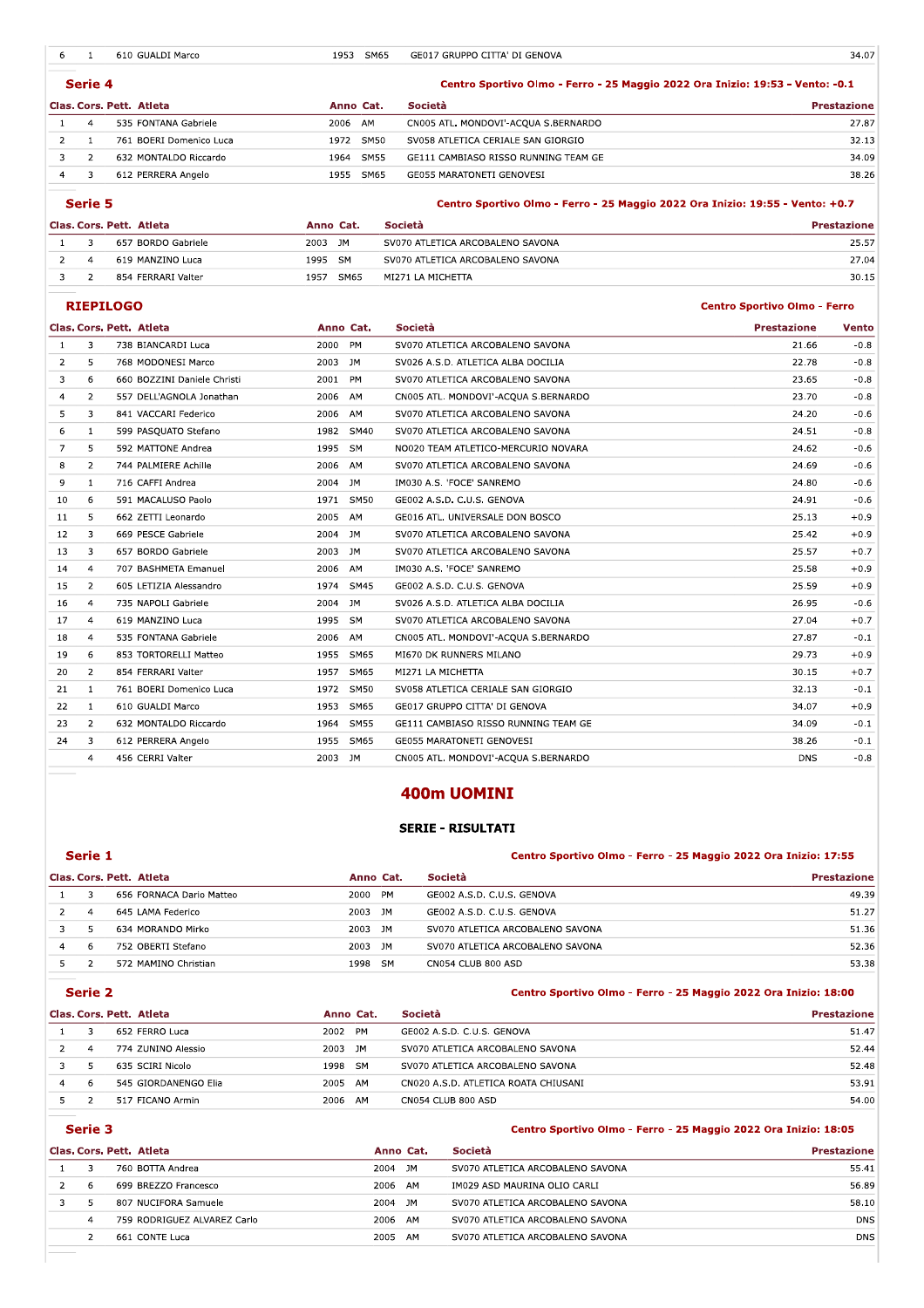|                | $\mathbf{1}$   | 610 GUALDI Marco         | 1953                | SM65<br>GE017 GRUPPO CITTA' DI GENOVA                                                    | 34.07              |
|----------------|----------------|--------------------------|---------------------|------------------------------------------------------------------------------------------|--------------------|
|                | Serie 4        |                          |                     | Centro Sportivo Olmo - Ferro - 25 Maggio 2022 Ora Inizio: 19:53 - Vento: -0.1            |                    |
|                |                | Clas. Cors. Pett. Atleta | Anno Cat.           | Società                                                                                  | <b>Prestazione</b> |
|                | 4              | 535 FONTANA Gabriele     | 2006 AM             | CN005 ATL. MONDOVI'-ACQUA S.BERNARDO                                                     | 27.87              |
| $\mathcal{P}$  | $\mathbf{1}$   | 761 BOERI Domenico Luca  | SM50<br>1972        | SV058 ATLETICA CERIALE SAN GIORGIO                                                       | 32.13              |
| 3              | 2              | 632 MONTALDO Riccardo    | <b>SM55</b><br>1964 | GE111 CAMBIASO RISSO RUNNING TEAM GE                                                     | 34.09              |
| $\overline{4}$ | 3              | 612 PERRERA Angelo       | SM65<br>1955        | <b>GE055 MARATONETI GENOVESI</b>                                                         | 38.26              |
|                | Serie 5        | Clas. Cors. Pett. Atleta | Anno Cat.           | Centro Sportivo Olmo - Ferro - 25 Maggio 2022 Ora Inizio: 19:55 - Vento: +0.7<br>Società | <b>Prestazione</b> |
|                | 3              | 657 BORDO Gabriele       | 2003 JM             | SV070 ATLETICA ARCOBALENO SAVONA                                                         | 25.57              |
|                | $\overline{4}$ | 619 MANZINO Luca         | 1995<br><b>SM</b>   | SV070 ATLETICA ARCOBALENO SAVONA                                                         | 27.04              |
| 2              |                |                          |                     |                                                                                          |                    |

| Clas. Cors. Pett. Atleta |  |                    | Anno Cat. |           | <b>Società</b>                   | <b>Prestazione</b> |
|--------------------------|--|--------------------|-----------|-----------|----------------------------------|--------------------|
|                          |  | 657 BORDO Gabriele | 2003      | JM        | SV070 ATLETICA ARCOBALENO SAVONA | 25.57              |
|                          |  | 619 MANZINO Luca   | 1995      | <b>SM</b> | SV070 ATLETICA ARCOBALENO SAVONA | 27.04              |
|                          |  | 854 FERRARI Valter | 1957      | SM65      | MI271 LA MICHETTA                | 30.15              |

|                |                | Clas. Cors. Pett. Atleta    | Anno Cat.           | Società                              |                                     | <b>Prestazione</b> |
|----------------|----------------|-----------------------------|---------------------|--------------------------------------|-------------------------------------|--------------------|
| $\mathbf{1}$   | 3              | 657 BORDO Gabriele          | 2003 JM             | SV070 ATLETICA ARCOBALENO SAVONA     |                                     | 25.57              |
| $\overline{2}$ | $\overline{4}$ | 619 MANZINO Luca            | 1995 SM             | SV070 ATLETICA ARCOBALENO SAVONA     |                                     | 27.04              |
| 3              | $\overline{2}$ | 854 FERRARI Valter          | 1957 SM65           | MI271 LA MICHETTA                    |                                     | 30.15              |
|                |                | <b>RIEPILOGO</b>            |                     |                                      | <b>Centro Sportivo Olmo - Ferro</b> |                    |
|                |                | Clas. Cors. Pett. Atleta    | Anno Cat.           | Società                              | <b>Prestazione</b>                  | <b>Vento</b>       |
| -1             | 3              | 738 BIANCARDI Luca          | 2000 PM             | SV070 ATLETICA ARCOBALENO SAVONA     | 21.66                               | $-0.8$             |
| $\overline{2}$ | 5              | 768 MODONESI Marco          | 2003 JM             | SV026 A.S.D. ATLETICA ALBA DOCILIA   | 22.78                               | $-0.8$             |
| 3              | 6              | 660 BOZZINI Daniele Christi | 2001 PM             | SV070 ATLETICA ARCOBALENO SAVONA     | 23.65                               | $-0.8$             |
| $\overline{4}$ | $\overline{2}$ | 557 DELL'AGNOLA Jonathan    | 2006 AM             | CN005 ATL. MONDOVI'-ACQUA S.BERNARDO | 23.70                               | $-0.8$             |
| 5.             | 3              | 841 VACCARI Federico        | 2006 AM             | SV070 ATLETICA ARCOBALENO SAVONA     | 24.20                               | $-0.6$             |
| 6              | $\mathbf{1}$   | 599 PASQUATO Stefano        | 1982 SM40           | SV070 ATLETICA ARCOBALENO SAVONA     | 24.51                               | $-0.8$             |
| 7              | 5              | 592 MATTONE Andrea          | 1995 SM             | NO020 TEAM ATLETICO-MERCURIO NOVARA  | 24.62                               | -0.6               |
| 8              | $\overline{2}$ | 744 PALMIERE Achille        | 2006 AM             | SV070 ATLETICA ARCOBALENO SAVONA     | 24.69                               | $-0.6$             |
| 9              | $\mathbf{1}$   | 716 CAFFI Andrea            | 2004<br>JM.         | IM030 A.S. 'FOCE' SANREMO            | 24.80                               | $-0.6$             |
| 10             | 6              | 591 MACALUSO Paolo          | 1971 SM50           | GE002 A.S.D. C.U.S. GENOVA           | 24.91                               | $-0.6$             |
| 11             | 5              | 662 ZETTI Leonardo          | 2005 AM             | GE016 ATL. UNIVERSALE DON BOSCO      | 25.13                               | $+0.9$             |
| 12             | 3              | 669 PESCE Gabriele          | 2004<br>JM          | SV070 ATLETICA ARCOBALENO SAVONA     | 25.42                               | $+0.9$             |
| 13             | 3              | 657 BORDO Gabriele          | 2003 JM             | SV070 ATLETICA ARCOBALENO SAVONA     | 25.57                               | $+0.7$             |
| 14             | $\overline{4}$ | 707 BASHMETA Emanuel        | 2006 AM             | IM030 A.S. 'FOCE' SANREMO            | 25.58                               | $+0.9$             |
| 15             | $\overline{2}$ | 605 LETIZIA Alessandro      | <b>SM45</b><br>1974 | GE002 A.S.D. C.U.S. GENOVA           | 25.59                               | $+0.9$             |
| 16             | $\overline{4}$ | 735 NAPOLI Gabriele         | 2004<br>JM.         | SV026 A.S.D. ATLETICA ALBA DOCILIA   | 26.95                               | $-0.6$             |
| 17             | $\overline{4}$ | 619 MANZINO Luca            | 1995 SM             | SV070 ATLETICA ARCOBALENO SAVONA     | 27.04                               | $+0.7$             |
| 18             | 4              | 535 FONTANA Gabriele        | 2006 AM             | CN005 ATL. MONDOVI'-ACQUA S.BERNARDO | 27.87                               | $-0.1$             |
| 19             | 6              | 853 TORTORELLI Matteo       | 1955 SM65           | MI670 DK RUNNERS MILANO              | 29.73                               | $+0.9$             |
| 20             | 2              | 854 FERRARI Valter          | 1957 SM65           | MI271 LA MICHETTA                    | 30.15                               | $+0.7$             |
| 21             | $\mathbf{1}$   | 761 BOERI Domenico Luca     | 1972<br><b>SM50</b> | SV058 ATLETICA CERIALE SAN GIORGIO   | 32.13                               | $-0.1$             |
| 22             | 1              | 610 GUALDI Marco            | SM65<br>1953        | GE017 GRUPPO CITTA' DI GENOVA        | 34.07                               | $+0.9$             |
| 23             | $\overline{2}$ | 632 MONTALDO Riccardo       | <b>SM55</b><br>1964 | GE111 CAMBIASO RISSO RUNNING TEAM GE | 34.09                               | $-0.1$             |
| 24             | 3              | 612 PERRERA Angelo          | 1955 SM65           | GE055 MARATONETI GENOVESI            | 38.26                               | $-0.1$             |
|                | 4              | 456 CERRI Valter            | 2003 JM             | CN005 ATL. MONDOVI'-ACQUA S.BERNARDO | <b>DNS</b>                          | $-0.8$             |

# 400m UOMINI

# SERIE - RISULTATI

|                          |                |                          | 400m UOMINI |                                                                 |                    |  |  |  |  |  |
|--------------------------|----------------|--------------------------|-------------|-----------------------------------------------------------------|--------------------|--|--|--|--|--|
| <b>SERIE - RISULTATI</b> |                |                          |             |                                                                 |                    |  |  |  |  |  |
|                          | Serie 1        |                          |             | Centro Sportivo Olmo - Ferro - 25 Maggio 2022 Ora Inizio: 17:55 |                    |  |  |  |  |  |
|                          |                |                          |             |                                                                 |                    |  |  |  |  |  |
|                          |                | Clas. Cors. Pett. Atleta | Anno Cat.   | Società                                                         | <b>Prestazione</b> |  |  |  |  |  |
|                          | 3              | 656 FORNACA Dario Matteo | 2000 PM     | GE002 A.S.D. C.U.S. GENOVA                                      | 49.39              |  |  |  |  |  |
| $\mathcal{P}$            | $\overline{4}$ | 645 LAMA Federico        | 2003 JM     | GE002 A.S.D. C.U.S. GENOVA                                      | 51.27              |  |  |  |  |  |
| 3                        | 5.             | 634 MORANDO Mirko        | 2003 JM     | SV070 ATLETICA ARCOBALENO SAVONA                                | 51.36              |  |  |  |  |  |
| 4                        | 6              | 752 OBERTI Stefano       | 2003 JM     | SV070 ATLETICA ARCOBALENO SAVONA                                | 52.36              |  |  |  |  |  |

#### 2 4 645 LAMA Federico 2003 JM GE002 A.S.D. C.U.S. GENOVA<br>
3 5 634 MORANDO Mirko 2003 JM SV070 ATLETICA ARCOBALENO SAVONA<br>
4 6 752 OBERTI Stefano 2003 JM SV070 ATLETICA ARCOBALENO SAVONA 51.35<br>
52.36<br>
52.36 ST2 MAMINO Chris UZ PM GEUUZ A.S.D. C.U.S. GENOVA  $\overline{a}$ 2 4 774 ZUNINO Alessio U3 JM  $SU(70)$  ATLETICA ARCOBALENO SAVONA  $SU(70)$ 3 5 635 SCIRI Nicolo 1998 SM SVU/U ATLETICA ARCOBALENO SAVONA **ANDER A CONSTRUENT A CONSTRUENT AND A CONSTRUENT** SZ.48 4 6 545 GIORDANENGO Elia 2005 AM CNUZU A.S.D. ATLETICA ROATA CHIUSANI CHRONIC CONTROL CHANGE OF THE SET ON SALE SALE 5 2 517 FICANO Armin UD AM CNUS4 CLUB 800  $\sim$  54.00  $54.00$

|   | 4              | 774 ZUNINO Alessio          | 2003 JM |         |           | SV070 ATLETICA ARCOBALENO SAVONA                                | 52.44                                      |
|---|----------------|-----------------------------|---------|---------|-----------|-----------------------------------------------------------------|--------------------------------------------|
|   | 5              | 635 SCIRI Nicolo            | 1998 SM |         |           | SV070 ATLETICA ARCOBALENO SAVONA                                | 52.48                                      |
| 4 | 6              | 545 GIORDANENGO Elia        | 2005 AM |         |           | CN020 A.S.D. ATLETICA ROATA CHIUSANI                            | 53.91                                      |
| 5 | 2              | 517 FICANO Armin            | 2006 AM |         |           | CN054 CLUB 800 ASD                                              | 54.00                                      |
|   | Serie 3        |                             |         |         |           | Centro Sportivo Olmo - Ferro - 25 Maggio 2022 Ora Inizio: 18:05 |                                            |
|   |                |                             |         |         |           |                                                                 |                                            |
|   |                | Clas, Cors, Pett, Atleta    |         |         | Anno Cat. | Società                                                         | <b>Prestazione</b>                         |
|   | 3              | 760 BOTTA Andrea            |         | 2004 JM |           | SV070 ATLETICA ARCOBALENO SAVONA                                | 55.41                                      |
|   | 6              | 699 BREZZO Francesco        |         | 2006 AM |           | IM029 ASD MAURINA OLIO CARLI                                    |                                            |
|   | 5              | 807 NUCIFORA Samuele        |         | 2004 JM |           | SV070 ATLETICA ARCOBALENO SAVONA                                |                                            |
|   | $\overline{4}$ | 759 RODRIGUEZ ALVAREZ Carlo |         | 2006 AM |           | SV070 ATLETICA ARCOBALENO SAVONA                                |                                            |
|   | $\mathcal{P}$  | 661 CONTE Luca              |         | 2005 AM |           | SV070 ATLETICA ARCOBALENO SAVONA                                | 56.89<br>58.10<br><b>DNS</b><br><b>DNS</b> |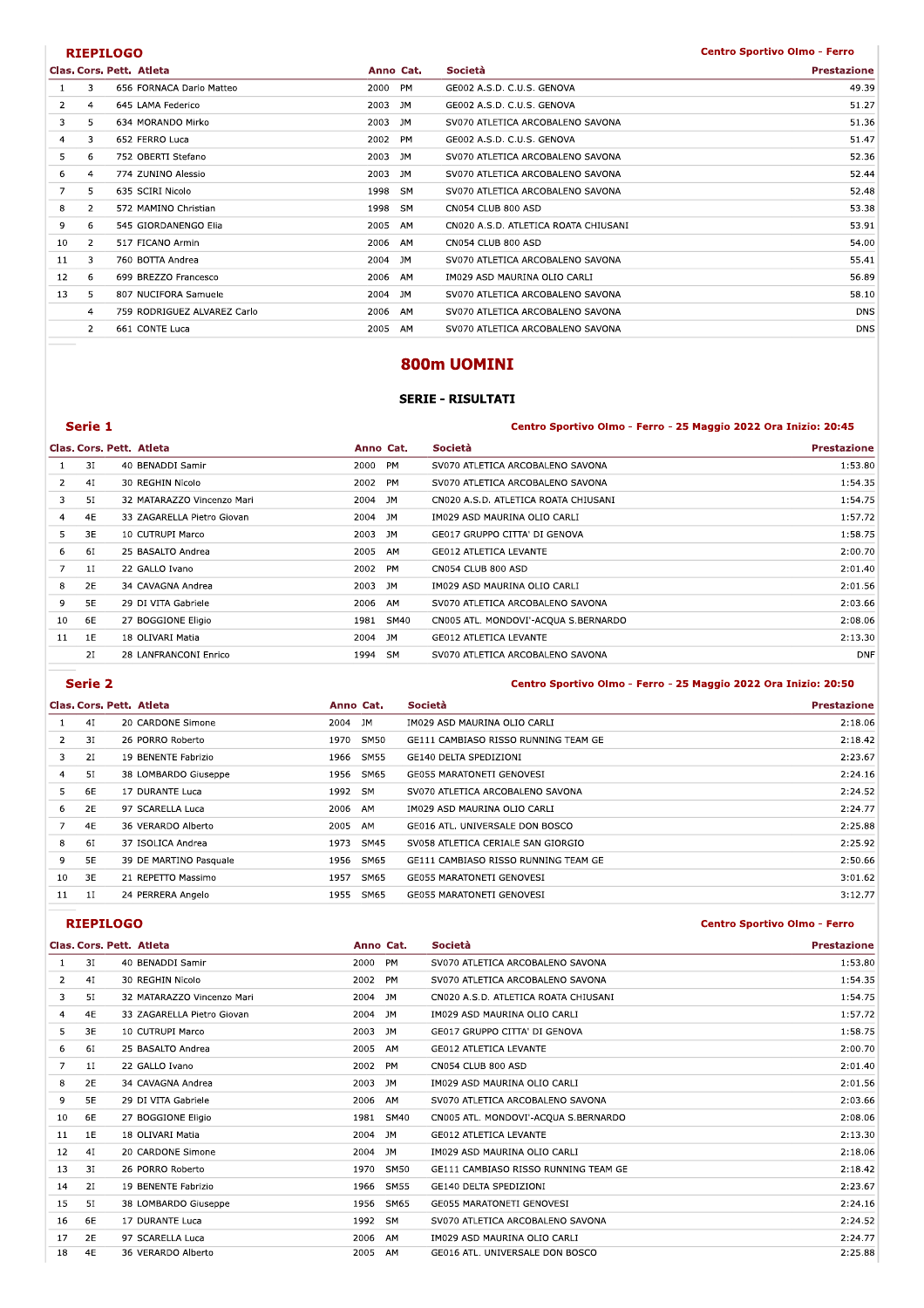### **RIEPILOGO**

#### **Centro Sportivo Olmo - Ferro**

|                |                | Clas. Cors. Pett. Atleta    |         | Anno Cat. | Società                              | <b>Prestazione</b> |
|----------------|----------------|-----------------------------|---------|-----------|--------------------------------------|--------------------|
|                | 3              | 656 FORNACA Dario Matteo    | 2000 PM |           | GE002 A.S.D. C.U.S. GENOVA           | 49.39              |
| $\overline{2}$ | $\overline{4}$ | 645 LAMA Federico           | 2003 JM |           | GE002 A.S.D. C.U.S. GENOVA           | 51.27              |
| 3              | 5              | 634 MORANDO Mirko           | 2003 JM |           | SV070 ATLETICA ARCOBALENO SAVONA     | 51.36              |
| 4              | 3              | 652 FERRO Luca              | 2002 PM |           | GE002 A.S.D. C.U.S. GENOVA           | 51.47              |
| 5              | 6              | 752 OBERTI Stefano          | 2003 JM |           | SV070 ATLETICA ARCOBALENO SAVONA     | 52.36              |
| 6              | $\overline{4}$ | 774 ZUNINO Alessio          | 2003 JM |           | SV070 ATLETICA ARCOBALENO SAVONA     | 52.44              |
|                | 5              | 635 SCIRI Nicolo            | 1998 SM |           | SV070 ATLETICA ARCOBALENO SAVONA     | 52.48              |
| 8              | $\mathbf{2}$   | 572 MAMINO Christian        | 1998    | SM        | CN054 CLUB 800 ASD                   | 53.38              |
| 9              | 6              | 545 GIORDANENGO Elia        | 2005 AM |           | CN020 A.S.D. ATLETICA ROATA CHIUSANI | 53.91              |
| 10             | 2              | 517 FICANO Armin            | 2006 AM |           | CN054 CLUB 800 ASD                   | 54.00              |
| 11             | 3              | 760 BOTTA Andrea            | 2004 JM |           | SV070 ATLETICA ARCOBALENO SAVONA     | 55.41              |
| 12             | 6              | 699 BREZZO Francesco        | 2006 AM |           | IM029 ASD MAURINA OLIO CARLI         | 56.89              |
| 13             | 5              | 807 NUCIFORA Samuele        | 2004 JM |           | SV070 ATLETICA ARCOBALENO SAVONA     | 58.10              |
|                | $\overline{4}$ | 759 RODRIGUEZ ALVAREZ Carlo | 2006 AM |           | SV070 ATLETICA ARCOBALENO SAVONA     | <b>DNS</b>         |
|                | $\overline{2}$ | 661 CONTE Luca              | 2005 AM |           | SV070 ATLETICA ARCOBALENO SAVONA     | <b>DNS</b>         |
|                |                |                             |         |           |                                      |                    |

# 800m UOMINI

### **SERIE - RISULTATI**

### Serie 1

Centro Sportivo Olmo - Ferro - 25 Maggio 2022 Ora Inizio: 20:45

|    |    | Clas. Cors. Pett. Atleta   | Anno Cat.    | Società                              | <b>Prestazione</b> |
|----|----|----------------------------|--------------|--------------------------------------|--------------------|
|    | 3I | 40 BENADDI Samir           | 2000<br>PM   | SV070 ATLETICA ARCOBALENO SAVONA     | 1:53.80            |
|    | 4I | 30 REGHIN Nicolo           | 2002<br>PM   | SV070 ATLETICA ARCOBALENO SAVONA     | 1:54.35            |
| 3  | 51 | 32 MATARAZZO Vincenzo Mari | 2004 JM      | CN020 A.S.D. ATLETICA ROATA CHIUSANI | 1:54.75            |
| 4  | 4E | 33 ZAGARELLA Pietro Giovan | 2004 JM      | IM029 ASD MAURINA OLIO CARLI         | 1:57.72            |
| 5. | 3E | 10 CUTRUPI Marco           | 2003<br>JM   | GE017 GRUPPO CITTA' DI GENOVA        | 1:58.75            |
| 6  | 61 | 25 BASALTO Andrea          | 2005<br>AM   | GE012 ATLETICA LEVANTE               | 2:00.70            |
|    | 11 | 22 GALLO Ivano             | 2002 PM      | CN054 CLUB 800 ASD                   | 2:01.40            |
| 8  | 2E | 34 CAVAGNA Andrea          | 2003<br>JM.  | IM029 ASD MAURINA OLIO CARLI         | 2:01.56            |
| 9  | 5E | 29 DI VITA Gabriele        | 2006<br>AM   | SV070 ATLETICA ARCOBALENO SAVONA     | 2:03.66            |
| 10 | 6E | 27 BOGGIONE Eligio         | 1981<br>SM40 | CN005 ATL. MONDOVI'-ACQUA S.BERNARDO | 2:08.06            |
| 11 | 1E | 18 OLIVARI Matia           | 2004<br>JM   | <b>GE012 ATLETICA LEVANTE</b>        | 2:13.30            |
|    | 21 | 28 LANFRANCONI Enrico      | 1994 SM      | SV070 ATLETICA ARCOBALENO SAVONA     | <b>DNF</b>         |
|    |    |                            |              |                                      |                    |

### Serie 2

## Centro Sportivo Olmo - Ferro - 25 Maggio 2022 Ora Inizio: 20:50 Prestazione

|                |           | Clas. Cors. Pett. Atleta | Anno Cat.  |             | Società                              | <b>Prestazione</b> |
|----------------|-----------|--------------------------|------------|-------------|--------------------------------------|--------------------|
|                | 4I        | 20 CARDONE Simone        | JM<br>2004 |             | IM029 ASD MAURINA OLIO CARLI         | 2:18.06            |
| $\overline{2}$ | 3I        | 26 PORRO Roberto         | 1970       | <b>SM50</b> | GE111 CAMBIASO RISSO RUNNING TEAM GE | 2:18.42            |
| 3              | 2I        | 19 BENENTE Fabrizio      | 1966       | SM55        | GE140 DELTA SPEDIZIONI               | 2:23.67            |
| 4              | 51        | 38 LOMBARDO Giuseppe     | 1956       | SM65        | <b>GE055 MARATONETI GENOVESI</b>     | 2:24.16            |
| 5.             | 6E        | 17 DURANTE Luca          | 1992 SM    |             | SV070 ATLETICA ARCOBALENO SAVONA     | 2:24.52            |
| 6              | 2E        | 97 SCARELLA Luca         | 2006 AM    |             | IM029 ASD MAURINA OLIO CARLI         | 2:24.77            |
|                | 4E        | 36 VERARDO Alberto       | 2005 AM    |             | GE016 ATL. UNIVERSALE DON BOSCO      | 2:25.88            |
| 8              | 61        | 37 ISOLICA Andrea        | 1973       | SM45        | SV058 ATLETICA CERIALE SAN GIORGIO   | 2:25.92            |
| 9              | <b>5E</b> | 39 DE MARTINO Pasquale   | 1956       | SM65        | GE111 CAMBIASO RISSO RUNNING TEAM GE | 2:50.66            |
| 10             | 3E        | 21 REPETTO Massimo       | 1957       | SM65        | GE055 MARATONETI GENOVESI            | 3:01.62            |
| 11             | 1I        | 24 PERRERA Angelo        | 1955       | SM65        | GE055 MARATONETI GENOVESI            | 3:12.77            |

# **RIEPILOGO**

#### **Centro Sportivo Olmo - Ferro**

|    |           | Clas. Cors. Pett. Atleta   | Anno Cat.  | Società                              | <b>Prestazione</b> |
|----|-----------|----------------------------|------------|--------------------------------------|--------------------|
|    | 3I        | 40 BENADDI Samir           | 2000 PM    | SV070 ATLETICA ARCOBALENO SAVONA     | 1:53.80            |
| 2  | 4I        | 30 REGHIN Nicolo           | 2002 PM    | SV070 ATLETICA ARCOBALENO SAVONA     | 1:54.35            |
| 3  | 51        | 32 MATARAZZO Vincenzo Mari | 2004 JM    | CN020 A.S.D. ATLETICA ROATA CHIUSANI | 1:54.75            |
| 4  | 4E        | 33 ZAGARELLA Pietro Giovan | 2004 JM    | IM029 ASD MAURINA OLIO CARLI         | 1:57.72            |
| 5  | 3E        | 10 CUTRUPI Marco           | 2003 JM    | GE017 GRUPPO CITTA' DI GENOVA        | 1:58.75            |
| 6  | 61        | 25 BASALTO Andrea          | 2005 AM    | <b>GE012 ATLETICA LEVANTE</b>        | 2:00.70            |
| 7  | 11        | 22 GALLO Ivano             | 2002 PM    | CN054 CLUB 800 ASD                   | 2:01.40            |
| 8  | <b>2E</b> | 34 CAVAGNA Andrea          | 2003 JM    | IM029 ASD MAURINA OLIO CARLI         | 2:01.56            |
| 9  | 5E        | 29 DI VITA Gabriele        | 2006 AM    | SV070 ATLETICA ARCOBALENO SAVONA     | 2:03.66            |
| 10 | 6E        | 27 BOGGIONE Eligio         | 1981 SM40  | CN005 ATL. MONDOVI'-ACQUA S.BERNARDO | 2:08.06            |
| 11 | 1E        | 18 OLIVARI Matia           | 2004 JM    | <b>GE012 ATLETICA LEVANTE</b>        | 2:13.30            |
| 12 | 4I        | 20 CARDONE Simone          | 2004 JM    | IM029 ASD MAURINA OLIO CARLI         | 2:18.06            |
| 13 | 3I        | 26 PORRO Roberto           | 1970 SM50  | GE111 CAMBIASO RISSO RUNNING TEAM GE | 2:18.42            |
| 14 | <b>21</b> | 19 BENENTE Fabrizio        | 1966 SM55  | GE140 DELTA SPEDIZIONI               | 2:23.67            |
| 15 | 51        | 38 LOMBARDO Giuseppe       | 1956 SM65  | GE055 MARATONETI GENOVESI            | 2:24.16            |
| 16 | 6E        | 17 DURANTE Luca            | 1992 SM    | SV070 ATLETICA ARCOBALENO SAVONA     | 2:24.52            |
| 17 | 2E        | 97 SCARELLA Luca           | AM<br>2006 | IM029 ASD MAURINA OLIO CARLI         | 2:24.77            |
| 18 | 4E        | 36 VERARDO Alberto         | 2005<br>AM | GE016 ATL. UNIVERSALE DON BOSCO      | 2:25.88            |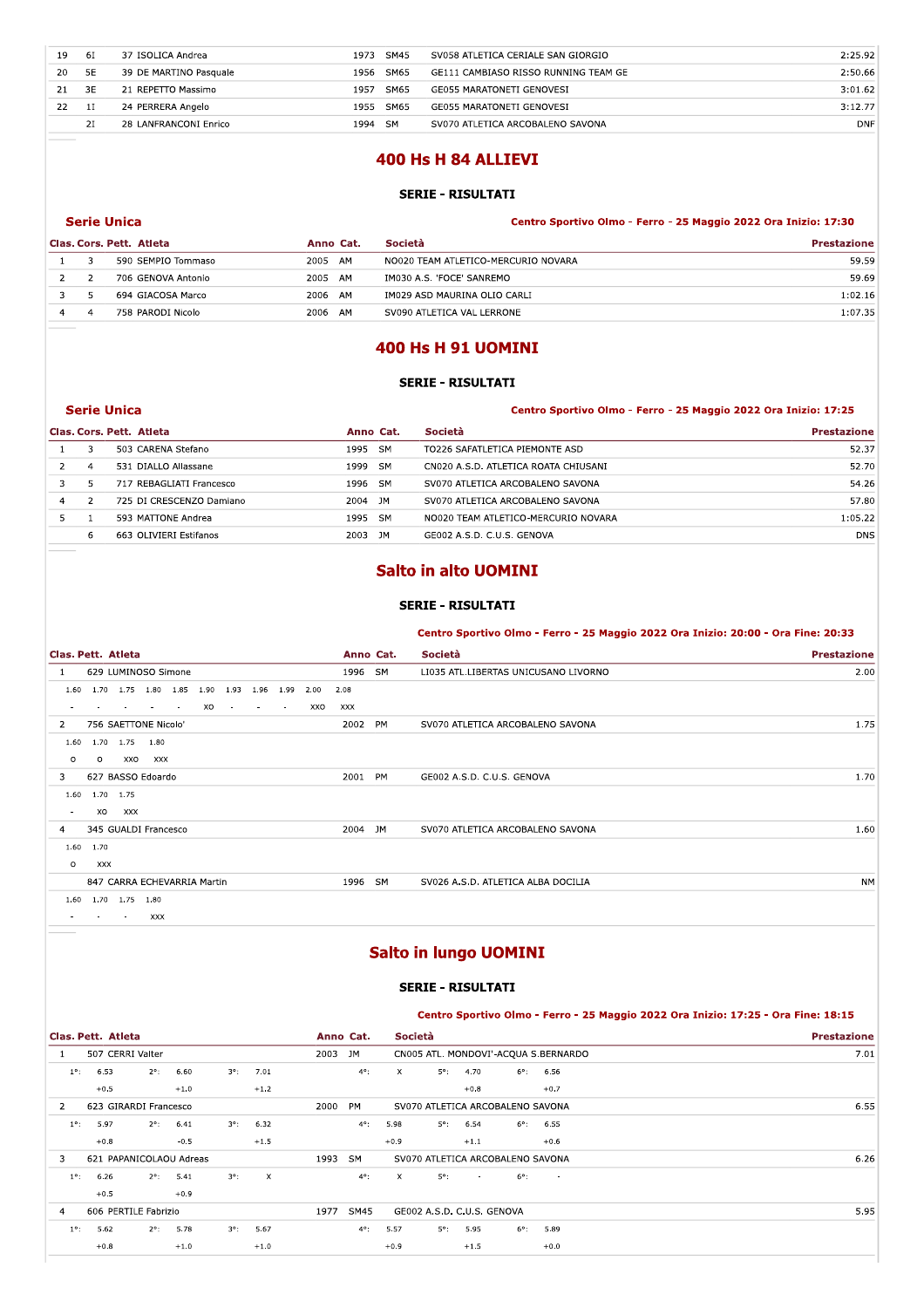| 19 | 61        | 37 ISOLICA Andrea      | 1973 | SM45      | SV058 ATLETICA CERIALE SAN GIORGIO   | 2:25.92    |
|----|-----------|------------------------|------|-----------|--------------------------------------|------------|
| 20 | <b>5E</b> | 39 DE MARTINO Pasquale | 1956 | SM65      | GE111 CAMBIASO RISSO RUNNING TEAM GE | 2:50.66    |
| 21 | 3E        | 21 REPETTO Massimo     | 1957 | SM65      | GE055 MARATONETI GENOVESI            | 3:01.62    |
| 22 | <b>1I</b> | 24 PERRERA Angelo      | 1955 | SM65      | <b>GE055 MARATONETI GENOVESI</b>     | 3:12.77    |
|    | 21        | 28 LANFRANCONI Enrico  | 1994 | <b>SM</b> | SV070 ATLETICA ARCOBALENO SAVONA     | <b>DNF</b> |
|    |           |                        |      |           |                                      |            |
|    |           |                        |      |           | 400 Hs H 84 ALLIEVI                  |            |
|    |           |                        |      |           |                                      |            |
|    |           |                        |      |           | <b>SERIE - RISULTATI</b>             |            |
|    |           |                        |      |           |                                      |            |

# 400 Hs H 84 ALLIEVI

#### SERIE - RISULTATI

|                |                    |                                                | <u>JLNIL - NIJULIAII</u>                                        |                    |
|----------------|--------------------|------------------------------------------------|-----------------------------------------------------------------|--------------------|
|                |                    |                                                | Centro Sportivo Olmo - Ferro - 25 Maggio 2022 Ora Inizio: 17:30 |                    |
|                |                    |                                                | Società                                                         | <b>Prestazione</b> |
| 3              | 590 SEMPIO Tommaso |                                                | NO020 TEAM ATLETICO-MERCURIO NOVARA                             | 59.59              |
| 2              | 706 GENOVA Antonio |                                                | IM030 A.S. 'FOCE' SANREMO                                       | 59.69              |
| 5              | 694 GIACOSA Marco  |                                                | IM029 ASD MAURINA OLIO CARLI                                    | 1:02.16            |
| $\overline{a}$ | 758 PARODI Nicolo  | 2006                                           | SV090 ATLETICA VAL LERRONE                                      | 1:07.35            |
|                |                    |                                                | <b>400 Hs H 91 UOMINI</b><br><b>SERIE - RISULTATI</b>           |                    |
|                |                    | <b>Serie Unica</b><br>Clas. Cors. Pett. Atleta | Anno Cat.<br>2005 AM<br>2005 AM<br>2006 AM<br>AM                |                    |

# 400 Hs H 91 UOMINI

## SERIE - RISULTATI

#### erie Unica abcorde and the second term of the Centro Sportivo Olmo - Ferro - 25 Maggio 2022 Ora Inizio: 17:25

|                |               | Clas. Cors. Pett. Atleta | Anno Cat. |           | Società                                                 | <b>Prestazione</b> |
|----------------|---------------|--------------------------|-----------|-----------|---------------------------------------------------------|--------------------|
|                | 3             | 503 CARENA Stefano       | 1995      | <b>SM</b> | TO226 SAFATLETICA PIEMONTE ASD                          | 52.37              |
| $\overline{2}$ | 4             | 531 DIALLO Allassane     | 1999      | <b>SM</b> | CN020 A.S.D. ATLETICA ROATA CHIUSANI                    | 52.70              |
| 3              | 5.            | 717 REBAGLIATI Francesco | 1996      | <b>SM</b> | SV070 ATLETICA ARCOBALENO SAVONA                        | 54.26              |
| 4              | $\mathcal{P}$ | 725 DI CRESCENZO Damiano | 2004      | JM        | SV070 ATLETICA ARCOBALENO SAVONA                        | 57.80              |
| 5              |               | 593 MATTONE Andrea       | 1995      | <b>SM</b> | NO020 TEAM ATLETICO-MERCURIO NOVARA                     | 1:05.22            |
|                | 6             | 663 OLIVIERI Estifanos   | 2003      | JM        | GE002 A.S.D. C.U.S. GENOVA                              | <b>DNS</b>         |
|                |               |                          |           |           | <b>Salto in alto UOMINI</b><br><b>SERIE - RISULTATI</b> |                    |

# Salto in alto UOMINI

#### SERIE - RISULTATI

#### Centro Sportivo Olmo - Ferro - 25 Maggio 2022 Ora Inizio: 20:00 - Ora Fine: 20:33

|                    |                |        |                             |    |               |        |        |      |         |           | <b>SERIE - RISULTATI</b>                                                          |                    |
|--------------------|----------------|--------|-----------------------------|----|---------------|--------|--------|------|---------|-----------|-----------------------------------------------------------------------------------|--------------------|
|                    |                |        |                             |    |               |        |        |      |         |           | Centro Sportivo Olmo - Ferro - 25 Maggio 2022 Ora Inizio: 20:00 - Ora Fine: 20:33 |                    |
| Clas. Pett. Atleta |                |        |                             |    |               |        |        |      |         | Anno Cat. | Società                                                                           | <b>Prestazione</b> |
| $\mathbf{1}$       |                |        | 629 LUMINOSO Simone         |    |               |        |        |      | 1996 SM |           | LI035 ATL.LIBERTAS UNICUSANO LIVORNO                                              | 2.00               |
| 1.60               |                |        | 1.70 1.75 1.80 1.85         |    | 1.90 1.93     | 1.96   | 1.99   | 2.00 | 2.08    |           |                                                                                   |                    |
|                    |                |        |                             | XO | $\sim$ $\sim$ | $\sim$ | $\sim$ | XXO  | XXX     |           |                                                                                   |                    |
| 2                  |                |        | 756 SAETTONE Nicolo'        |    |               |        |        |      | 2002 PM |           | SV070 ATLETICA ARCOBALENO SAVONA                                                  | 1.75               |
| 1.60               | 1.70           | 1.75   | 1.80                        |    |               |        |        |      |         |           |                                                                                   |                    |
| $\circ$            | $\circ$        | XXO    | <b>XXX</b>                  |    |               |        |        |      |         |           |                                                                                   |                    |
| 3                  |                |        | 627 BASSO Edoardo           |    |               |        |        |      | 2001 PM |           | GE002 A.S.D. C.U.S. GENOVA                                                        | 1.70               |
|                    | 1.60 1.70 1.75 |        |                             |    |               |        |        |      |         |           |                                                                                   |                    |
| $\sim$             | XO             | XXX    |                             |    |               |        |        |      |         |           |                                                                                   |                    |
| 4                  |                |        | 345 GUALDI Francesco        |    |               |        |        |      | 2004 JM |           | SV070 ATLETICA ARCOBALENO SAVONA                                                  | 1.60               |
|                    | 1.60 1.70      |        |                             |    |               |        |        |      |         |           |                                                                                   |                    |
| $\circ$            | <b>XXX</b>     |        |                             |    |               |        |        |      |         |           |                                                                                   |                    |
|                    |                |        | 847 CARRA ECHEVARRIA Martin |    |               |        |        |      | 1996 SM |           | SV026 A.S.D. ATLETICA ALBA DOCILIA                                                | <b>NM</b>          |
| 1.60               |                |        | 1.70 1.75 1.80              |    |               |        |        |      |         |           |                                                                                   |                    |
| $\sim$             | $\sim$         | $\sim$ | XXX                         |    |               |        |        |      |         |           |                                                                                   |                    |
|                    |                |        |                             |    |               |        |        |      |         |           |                                                                                   |                    |
|                    |                |        |                             |    |               |        |        |      |         |           | <b>Salto in lungo UOMINI</b>                                                      |                    |

# Salto in lungo UOMINI

### SERIE - RISULTATI

## Centro Sportivo Olmo - Ferro - 25 Maggio 2022 Ora Inizio: 17:25 - Ora Fine: 18:15

|                | Clas. Pett. Atleta |                         |                    |             |                           |         | Anno Cat.     |              | Società                    |        |                                      |                  | <b>Prestazione</b> |
|----------------|--------------------|-------------------------|--------------------|-------------|---------------------------|---------|---------------|--------------|----------------------------|--------|--------------------------------------|------------------|--------------------|
| -1.            |                    | 507 CERRI Valter        |                    |             |                           | 2003 JM |               |              |                            |        | CN005 ATL. MONDOVI'-ACQUA S.BERNARDO |                  | 7.01               |
| $1^{\circ}$ :  | 6.53               | $2^{\circ}$ :           | 6.60               | $3^\circ$ : | 7.01                      |         | $4^{\circ}$ : | $\mathsf{X}$ | $5^\circ$ :                | 4.70   | $6^{\circ}$ :                        | 6.56             |                    |
|                | $+0.5$             |                         | $+1.0$             |             | $+1.2$                    |         |               |              |                            | $+0.8$ |                                      | $+0.7$           |                    |
| 2              |                    | 623 GIRARDI Francesco   |                    |             |                           | 2000    | PM            |              |                            |        | SV070 ATLETICA ARCOBALENO SAVONA     |                  | 6.55               |
| $1^{\circ}$ :  | 5.97               | $2^{\circ}$ :           | 6.41               | $3^\circ$ : | 6.32                      |         | $4^{\circ}$ : | 5.98         | $5^\circ$ :                | 6.54   | $6^{\circ}$ :                        | 6.55             |                    |
|                | $+0.8$             |                         | $-0.5$             |             | $+1.5$                    |         |               | $+0.9$       |                            | $+1.1$ |                                      | $+0.6$           |                    |
| 3              |                    | 621 PAPANICOLAOU Adreas |                    |             |                           | 1993    | SM            |              |                            |        | SV070 ATLETICA ARCOBALENO SAVONA     |                  | 6.26               |
| $1^{\circ}$ :  | 6.26               |                         | $2^{\circ}$ : 5.41 | $3^\circ$ : | $\boldsymbol{\mathsf{X}}$ |         | $4^{\circ}$ : | $\mathsf{X}$ | $5^\circ$ :                | $\sim$ | $6^\circ$ :                          | $\sim$ 100 $\pm$ |                    |
|                | $+0.5$             |                         | $+0.9$             |             |                           |         |               |              |                            |        |                                      |                  |                    |
| $\overline{4}$ |                    | 606 PERTILE Fabrizio    |                    |             |                           | 1977    | SM45          |              | GE002 A.S.D. C.U.S. GENOVA |        |                                      |                  | 5.95               |
| $1^{\circ}$ :  | 5.62               | $2^{\circ}$ :           | 5.78               | $3^\circ$ : | 5.67                      |         | $4^{\circ}$ : | 5.57         | $5^\circ$ :                | 5.95   | $6^{\circ}$ :                        | 5.89             |                    |
|                | $+0.8$             |                         | $+1.0$             |             | $+1.0$                    |         |               | $+0.9$       |                            | $+1.5$ |                                      | $+0.0$           |                    |
|                |                    |                         |                    |             |                           |         |               |              |                            |        |                                      |                  |                    |
|                |                    |                         |                    |             |                           |         |               |              |                            |        |                                      |                  |                    |
|                |                    |                         |                    |             |                           |         |               |              |                            |        |                                      |                  |                    |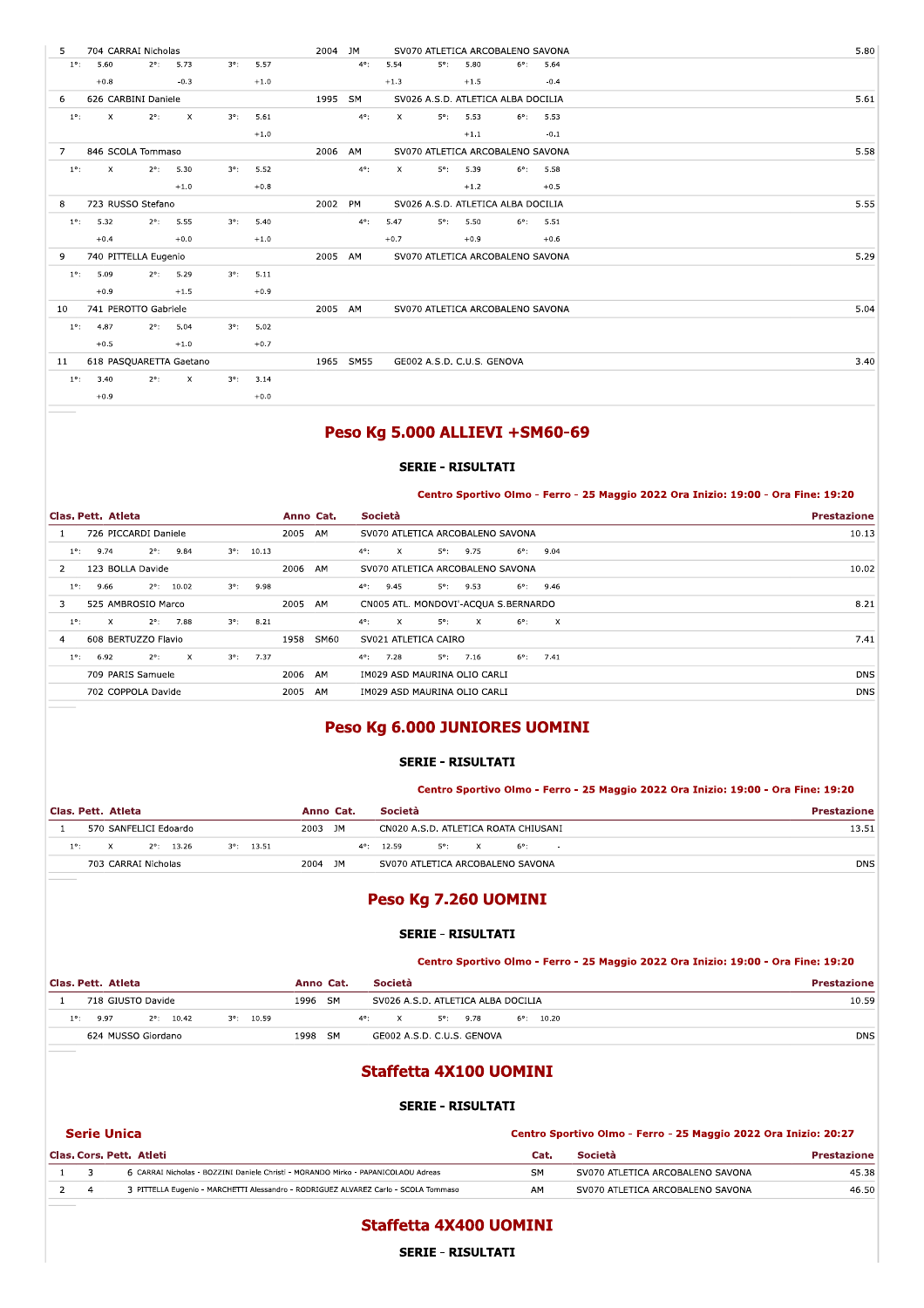| $2^\circ$ :<br>$1^{\circ}$ :<br>5.60<br>5.73<br>$3^\circ$ :<br>5.57                                         | 2004 JM<br>SV070 ATLETICA ARCOBALENO SAVONA<br>$4^{\circ}$ :<br>5.54<br>$5^\circ$ :<br>5.80<br>$6^{\circ}$ :<br>5.64 | 5.80 |
|-------------------------------------------------------------------------------------------------------------|----------------------------------------------------------------------------------------------------------------------|------|
| $-0.3$<br>$+0.8$<br>$+1.0$                                                                                  | $-0.4$<br>$+1.3$<br>$+1.5$                                                                                           |      |
| 626 CARBINI Daniele<br>6                                                                                    | 1995 SM<br>SV026 A.S.D. ATLETICA ALBA DOCILIA                                                                        | 5.61 |
| $\boldsymbol{\times}$<br>$\boldsymbol{\mathsf{X}}$<br>$2^{\circ}$ :<br>$1^{\circ}$ :<br>$3^\circ$ :<br>5.61 | $4^{\circ}$ :<br>$\boldsymbol{\mathsf{X}}$<br>$5^{\circ}$ :<br>5.53<br>$6^\circ$ :<br>5.53                           |      |
| $+1.0$                                                                                                      | $-0.1$<br>$+1.1$                                                                                                     |      |
| 846 SCOLA Tommaso<br>$\overline{7}$                                                                         | 2006 AM<br>SV070 ATLETICA ARCOBALENO SAVONA                                                                          | 5.58 |
| $\mathsf{x}$<br>$2^{\circ}$ :<br>5.30<br>$3^\circ$ :<br>5.52<br>$1^{\circ}$ :                               | $4^{\circ}$ :<br>$\boldsymbol{\mathsf{x}}$<br>$5^{\circ}$ :<br>5.39<br>$6^{\circ}$ : 5.58                            |      |
| $+1.0$<br>$+0.8$                                                                                            | $+1.2$<br>$+0.5$                                                                                                     |      |
| 723 RUSSO Stefano<br>8                                                                                      | 2002 PM<br>SV026 A.S.D. ATLETICA ALBA DOCILIA                                                                        | 5.55 |
| 5.32<br>5.55<br>5.40<br>$2^{\circ}$ :<br>$3^\circ$ :<br>$1^{\circ}$ :                                       | 5°:<br>$4^{\circ}$ :<br>5.47<br>5.50<br>$6^{\circ}$ : 5.51                                                           |      |
| $+0.4$<br>$+0.0$<br>$+1.0$                                                                                  | $+0.7$<br>$+0.9$<br>$+0.6$                                                                                           |      |
| 740 PITTELLA Eugenio<br>9                                                                                   | 2005 AM<br>SV070 ATLETICA ARCOBALENO SAVONA                                                                          | 5.29 |
| 5.29<br>5.11<br>$1^{\circ}$ :<br>5.09<br>$2^{\circ}$ :<br>$3^\circ$ :                                       |                                                                                                                      |      |
| $+0.9$<br>$+1.5$<br>$+0.9$                                                                                  |                                                                                                                      |      |
| 741 PEROTTO Gabriele<br>10                                                                                  | 2005 AM<br>SV070 ATLETICA ARCOBALENO SAVONA                                                                          | 5.04 |
| 4.87<br>$2^{\circ}$ :<br>5.04<br>$3^\circ$ :<br>5.02<br>$1^\circ$ :                                         |                                                                                                                      |      |
| $+0.5$<br>$+1.0$<br>$+0.7$                                                                                  |                                                                                                                      |      |
| 618 PASQUARETTA Gaetano<br>11                                                                               | 1965 SM55<br>GE002 A.S.D. C.U.S. GENOVA                                                                              | 3.40 |
| 3.40<br>$2^{\circ}$ :<br>$\boldsymbol{\mathsf{X}}$<br>$3^\circ$ :<br>3.14<br>$1^{\circ}$ :                  |                                                                                                                      |      |
| $+0.0$<br>$+0.9$                                                                                            |                                                                                                                      |      |
|                                                                                                             |                                                                                                                      |      |

# Peso Kg 5.000 ALLIEVI + SM60-69

### SERIE - RISULTATI

### Centro Sportivo Olmo - Ferro - 25 Maggio 2022 Ora Inizio: 19:00 - Ora Fine: 19:20

|               | Clas. Pett. Atleta   |               |                     |             |                    |         | Anno Cat. | Società                                                                                       | <b>Prestazione</b> |
|---------------|----------------------|---------------|---------------------|-------------|--------------------|---------|-----------|-----------------------------------------------------------------------------------------------|--------------------|
| -1            | 726 PICCARDI Daniele |               |                     |             |                    | 2005 AM |           | SV070 ATLETICA ARCOBALENO SAVONA                                                              | 10.13              |
| $1^\circ$ :   | 9.74                 |               | $2^{\circ}$ : 9.84  | $3^\circ$ : | 10.13              |         |           | $5^{\circ}$ : 9.75<br>$6^{\circ}$ : 9.04<br>$\mathbf{x}$<br>$4^{\circ}$ :                     |                    |
| 2             | 123 BOLLA Davide     |               |                     |             |                    | 2006 AM |           | SV070 ATLETICA ARCOBALENO SAVONA                                                              | 10.02              |
| $1^{\circ}$ : | 9.66                 |               | $2^{\circ}$ : 10.02 | $3^\circ$ : | 9.98               |         |           | $4^{\circ}$ : 9.45<br>$5^{\circ}$ : 9.53<br>$6^{\circ}$ : 9.46                                |                    |
| 3             | 525 AMBROSIO Marco   |               |                     |             |                    | 2005 AM |           | CN005 ATL. MONDOVI'-ACQUA S.BERNARDO                                                          | 8.21               |
| $1^{\circ}$ : | $\mathbf{x}$         |               | $2^{\circ}$ : 7.88  | $3^\circ$ : | 8.21               |         |           | $5^\circ$ :<br>$\mathbf{X}$<br>$\mathsf{X}$<br>$\mathsf{X}$<br>$6^{\circ}$ :<br>$4^{\circ}$ : |                    |
| 4             | 608 BERTUZZO Flavio  |               |                     |             |                    | 1958    | SM60      | SV021 ATLETICA CAIRO                                                                          | 7.41               |
|               | $1^{\circ}$ : 6.92   | $2^{\circ}$ : | $\mathsf{X}$        |             | $3^{\circ}$ : 7.37 |         |           | $4^{\circ}$ : 7.28<br>$5^{\circ}$ : 7.16<br>$6^{\circ}$ : 7.41                                |                    |
|               | 709 PARIS Samuele    |               |                     |             |                    | 2006 AM |           | IM029 ASD MAURINA OLIO CARLI                                                                  | <b>DNS</b>         |
|               | 702 COPPOLA Davide   |               |                     |             |                    | 2005 AM |           | IM029 ASD MAURINA OLIO CARLI                                                                  | <b>DNS</b>         |

# Peso kg 6.000 JUNIORES UOMINI

### SERIE - RISULTATI

### Centro Sportivo Olmo - Ferro - 25 Maggio 2022 Ora Inizio: 19:00 - Ora Fine: 19:20

|                       |                     |                     |           |     |                                      |     |                               |             |        | Centro Sportivo Olmo - Ferro - 25 Maggio 2022 Ora Inizio: 19:00 - Ora Fine: 19:20 |
|-----------------------|---------------------|---------------------|-----------|-----|--------------------------------------|-----|-------------------------------|-------------|--------|-----------------------------------------------------------------------------------|
| Clas. Pett. Atleta    |                     |                     | Anno Cat. |     | Società                              |     |                               |             |        | <b>Prestazione</b>                                                                |
| 570 SANFELICI Edoardo |                     |                     | 2003 JM   |     | CN020 A.S.D. ATLETICA ROATA CHIUSANI |     |                               |             |        | 13.51                                                                             |
| $1^{\circ}$ :<br>X.   | $2^{\circ}$ : 13.26 | $3^{\circ}$ : 13.51 |           |     | $4^{\circ}$ : 12.59                  | 5°: | $\mathbf{x}$ and $\mathbf{x}$ | $6^\circ$ : | $\sim$ |                                                                                   |
| 703 CARRAI Nicholas   |                     |                     | 2004      | JM. | SV070 ATLETICA ARCOBALENO SAVONA     |     |                               |             |        | <b>DNS</b>                                                                        |
|                       |                     |                     |           |     | Peso Kg 7.260 UOMINI                 |     |                               |             |        |                                                                                   |

# Peso Kg 7.260 UOMINI

#### SERIE - RISULTATI

### Centro Sportivo Olmo - Ferro - 25 Maggio 2022 Ora Inizio: 19:00 - Ora Fine: 19:20

|                                            | Centro Sportivo Olmo - Ferro - 25 Maggio 2022 Ora Inizio: 19:00 - Ora Fine: 19:20   |                    |
|--------------------------------------------|-------------------------------------------------------------------------------------|--------------------|
| Clas. Pett. Atleta                         | Società<br>Anno Cat.                                                                | <b>Prestazione</b> |
| 718 GIUSTO Davide                          | 1996 SM<br>SV026 A.S.D. ATLETICA ALBA DOCILIA                                       | 10.59              |
| 9.97<br>$2^{\circ}$ : 10.42<br>$1^\circ$ : | $3^{\circ}$ : 10.59<br>$4^{\circ}$ : X<br>$5^{\circ}$ : 9.78<br>$6^{\circ}$ : 10.20 |                    |
| 624 MUSSO Giordano                         | 1998 SM<br>GE002 A.S.D. C.U.S. GENOVA                                               | <b>DNS</b>         |

# Staffetta 4X100 UOMINI

## SERIE - RISULTATI

| Serie Unica |                                                                                     | Centro Sportivo Olmo - Ferro - 25 Maggio 2022 Ora Inizio: 20:27 |                                  |                    |  |
|-------------|-------------------------------------------------------------------------------------|-----------------------------------------------------------------|----------------------------------|--------------------|--|
|             | Clas. Cors. Pett. Atleti                                                            | Cat.                                                            | <b>Società</b>                   | <b>Prestazione</b> |  |
|             | 6 CARRAI Nicholas - BOZZINI Daniele Christi - MORANDO Mirko - PAPANICOLAOU Adreas   | SΜ                                                              | SV070 ATLETICA ARCOBALENO SAVONA | 45.38              |  |
|             | 3 PITTELLA Eugenio - MARCHETTI Alessandro - RODRIGUEZ ALVAREZ Carlo - SCOLA Tommaso | AM                                                              | SV070 ATLETICA ARCOBALENO SAVONA | 46.50              |  |

# Staffetta 4X400 UOMINI

SERIE - RISULTATI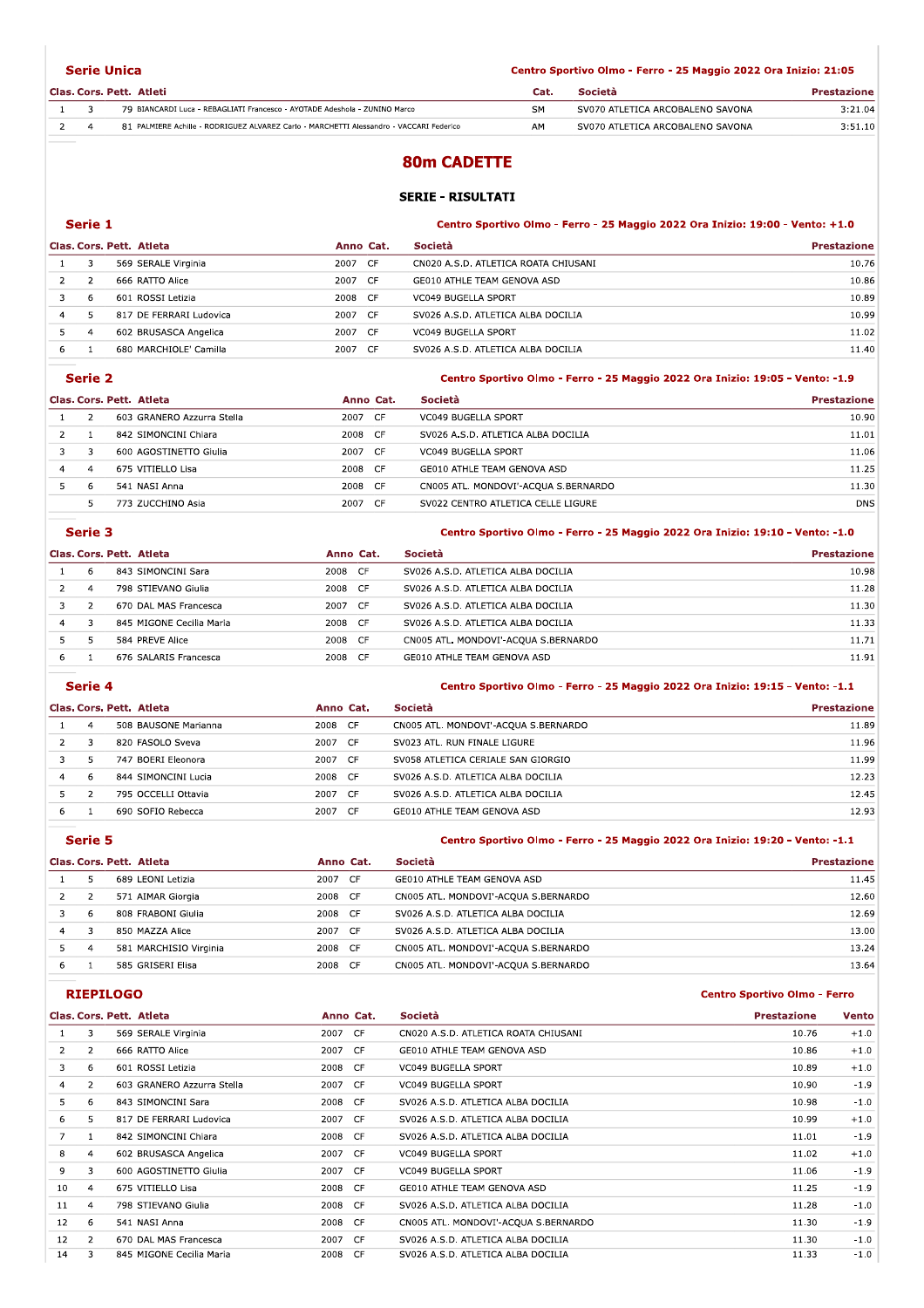|  | <b>Serie Unica</b>                                                                      | Centro Sportivo Olmo - Ferro - 25 Maggio 2022 Ora Inizio: 21:05 |                                  |                    |  |  |
|--|-----------------------------------------------------------------------------------------|-----------------------------------------------------------------|----------------------------------|--------------------|--|--|
|  | Clas. Cors. Pett. Atleti                                                                | Cat.                                                            | Società                          | <b>Prestazione</b> |  |  |
|  | 79 BIANCARDI Luca - REBAGLIATI Francesco - AYOTADE Adeshola - ZUNINO Marco              | <b>SM</b>                                                       | SV070 ATLETICA ARCOBALENO SAVONA | 3:21.04            |  |  |
|  | 81 PALMIERE Achille - RODRIGUEZ ALVAREZ Carlo - MARCHETTI Alessandro - VACCARI Federico | AM                                                              | SV070 ATLETICA ARCOBALENO SAVONA | 3:51.10            |  |  |
|  |                                                                                         |                                                                 |                                  |                    |  |  |

# **80m CADETTE**

### **SERIE - RISULTATI**

|   | Serie 1 |                          |           | Centro Sportivo Olmo - Ferro - 25 Maggio 2022 Ora Inizio: 19:00 - Vento: +1.0 |                    |  |
|---|---------|--------------------------|-----------|-------------------------------------------------------------------------------|--------------------|--|
|   |         | Clas. Cors. Pett. Atleta | Anno Cat. | <b>Società</b>                                                                | <b>Prestazione</b> |  |
|   | 3       | 569 SERALE Virginia      | 2007 CF   | CN020 A.S.D. ATLETICA ROATA CHIUSANI                                          | 10.76              |  |
|   |         | 666 RATTO Alice          | 2007 CF   | GE010 ATHLE TEAM GENOVA ASD                                                   | 10.86              |  |
|   | -6      | 601 ROSSI Letizia        | 2008 CF   | VC049 BUGELLA SPORT                                                           | 10.89              |  |
| 4 |         | 817 DE FERRARI Ludovica  | 2007 CF   | SV026 A.S.D. ATLETICA ALBA DOCILIA                                            | 10.99              |  |
|   | 4       | 602 BRUSASCA Angelica    | 2007 CF   | <b>VC049 BUGELLA SPORT</b>                                                    | 11.02              |  |
| 6 |         | 680 MARCHIOLE' Camilla   | 2007 CF   | SV026 A.S.D. ATLETICA ALBA DOCILIA                                            | 11.40              |  |
|   |         |                          |           |                                                                               |                    |  |

#### Serie 2 Centro Sportivo Olmo - Ferro - 25 Maggio 2022 Ora Inizio: 19:05 - Vento: -1.9 Clas. Cors. Pett. Atleta Anno Cat. Società Prestazione 603 GRANERO Azzurra Stella 2007 CF VC049 BUGELLA SPORT  $10.90$  $\,1\,$  $2^{\circ}$  $\overline{\mathbf{c}}$ 842 SIMONCINI Chiara 2008 CF SV026 A.S.D. ATLETICA ALBA DOCILIA 11.01  $\,$  1  $\,$  $\overline{\mathbf{3}}$ 600 AGOSTINETTO Giulia 2007 CF VC049 BUGELLA SPORT 11.06  $\overline{3}$ ÷  $\overline{4}$  $\overline{4}$ 675 VITIELLO Lisa 2008 CF GE010 ATHLE TEAM GENOVA ASD 11.25 Ξ 2008 CF CN005 ATL. MONDOVI'-ACQUA S.BERNARDO  $\overline{\phantom{0}}$ 541 NASI Anna  $11.30$  $6\overline{6}$

2007 CF

|                          | Serie 3       |                          |           | Centro Sportivo Olmo - Ferro - 25 Maggio 2022 Ora Inizio: 19:10 - Vento: -1.0 |                    |  |
|--------------------------|---------------|--------------------------|-----------|-------------------------------------------------------------------------------|--------------------|--|
| Clas. Cors. Pett. Atleta |               |                          | Anno Cat. | Società                                                                       | <b>Prestazione</b> |  |
|                          | 6             | 843 SIMONCINI Sara       | 2008 CF   | SV026 A.S.D. ATLETICA ALBA DOCILIA                                            | 10.98              |  |
|                          | 4             | 798 STIEVANO Giulia      | 2008 CF   | SV026 A.S.D. ATLETICA ALBA DOCILIA                                            | 11.28              |  |
|                          | $\mathcal{P}$ | 670 DAL MAS Francesca    | 2007 CF   | SV026 A.S.D. ATLETICA ALBA DOCILIA                                            | 11.30              |  |
| 4                        | 3             | 845 MIGONE Cecilia Maria | 2008 CF   | SV026 A.S.D. ATLETICA ALBA DOCILIA                                            | 11.33              |  |
| 5                        | 5             | 584 PREVE Alice          | 2008 CF   | CN005 ATL. MONDOVI'-ACOUA S.BERNARDO                                          | 11.71              |  |
| 6.                       |               | 676 SALARIS Francesca    | 2008 CF   | GE010 ATHLE TEAM GENOVA ASD                                                   | 11.91              |  |
|                          |               |                          |           |                                                                               |                    |  |

SV022 CENTRO ATLETICA CELLE LIGURE

 $\overline{D}$ NS

**Centro Sportivo Olmo - Ferro** 

|                          | Serie 4 |                      |           | Centro Sportivo Olmo - Ferro - 25 Maggio 2022 Ora Inizio: 19:15 - Vento: -1.1 |                    |  |
|--------------------------|---------|----------------------|-----------|-------------------------------------------------------------------------------|--------------------|--|
| Clas. Cors. Pett. Atleta |         |                      | Anno Cat. | <b>Società</b>                                                                | <b>Prestazione</b> |  |
|                          | 4       | 508 BAUSONE Marianna | 2008 CF   | CN005 ATL. MONDOVI'-ACQUA S.BERNARDO                                          | 11.89              |  |
|                          |         | 820 FASOLO Sveva     | 2007 CF   | SV023 ATL. RUN FINALE LIGURE                                                  | 11.96              |  |
|                          |         | 747 BOERI Eleonora   | 2007 CF   | SV058 ATLETICA CERIALE SAN GIORGIO                                            | 11.99              |  |
| 4                        | 6       | 844 SIMONCINI Lucia  | 2008 CF   | SV026 A.S.D. ATLETICA ALBA DOCILIA                                            | 12.23              |  |
|                          |         | 795 OCCELLI Ottavia  | 2007 CF   | SV026 A.S.D. ATLETICA ALBA DOCILIA                                            | 12.45              |  |
| 6                        |         | 690 SOFIO Rebecca    | 2007 CF   | GE010 ATHLE TEAM GENOVA ASD                                                   | 12.93              |  |

|                          | Serie 5 |                        |           | Centro Sportivo Olmo - Ferro - 25 Maggio 2022 Ora Inizio: 19:20 - Vento: -1.1 |                    |  |
|--------------------------|---------|------------------------|-----------|-------------------------------------------------------------------------------|--------------------|--|
| Clas. Cors. Pett. Atleta |         |                        | Anno Cat. | Società                                                                       | <b>Prestazione</b> |  |
|                          |         | 689 LEONI Letizia      | 2007 CF   | GE010 ATHLE TEAM GENOVA ASD                                                   | 11.45              |  |
|                          |         | 571 AIMAR Giorgia      | 2008 CF   | CN005 ATL. MONDOVI'-ACQUA S.BERNARDO                                          | 12.60              |  |
|                          | 6       | 808 FRABONI Giulia     | 2008 CF   | SV026 A.S.D. ATLETICA ALBA DOCILIA                                            | 12.69              |  |
| 4                        | 3       | 850 MAZZA Alice        | 2007 CF   | SV026 A.S.D. ATLETICA ALBA DOCILIA                                            | 13.00              |  |
| 5                        | 4       | 581 MARCHISIO Virginia | 2008 CF   | CN005 ATL. MONDOVI'-ACQUA S.BERNARDO                                          | 13.24              |  |
| 6                        |         | 585 GRISERI Elisa      | 2008 CF   | CN005 ATL. MONDOVI'-ACOUA S.BERNARDO                                          | 13.64              |  |

## **RIEPILOGO**

773 ZUCCHINO Asia

 $\overline{5}$ 

|                |                | Clas. Cors. Pett. Atleta   | Società<br>Anno Cat. |                                      | <b>Prestazione</b> | Vento  |
|----------------|----------------|----------------------------|----------------------|--------------------------------------|--------------------|--------|
|                | 3              | 569 SERALE Virginia        | 2007 CF              | CN020 A.S.D. ATLETICA ROATA CHIUSANI | 10.76              | $+1.0$ |
| $\overline{2}$ | $\overline{2}$ | 666 RATTO Alice            | 2007 CF              | GE010 ATHLE TEAM GENOVA ASD          | 10.86              | $+1.0$ |
| 3              | 6              | 601 ROSSI Letizia          | 2008 CF              | <b>VC049 BUGELLA SPORT</b>           | 10.89              | $+1.0$ |
| 4              | 2              | 603 GRANERO Azzurra Stella | 2007 CF              | <b>VC049 BUGELLA SPORT</b>           | 10.90              | $-1.9$ |
| 5.             | 6              | 843 SIMONCINI Sara         | 2008 CF              | SV026 A.S.D. ATLETICA ALBA DOCILIA   | 10.98              | $-1.0$ |
| 6              | 5.             | 817 DE FERRARI Ludovica    | 2007 CF              | SV026 A.S.D. ATLETICA ALBA DOCILIA   | 10.99              | $+1.0$ |
|                | -1             | 842 SIMONCINI Chiara       | 2008 CF              | SV026 A.S.D. ATLETICA ALBA DOCILIA   | 11.01              | $-1.9$ |
| 8              | $\overline{4}$ | 602 BRUSASCA Angelica      | 2007 CF              | VC049 BUGELLA SPORT                  | 11.02              | $+1.0$ |
| 9              | 3              | 600 AGOSTINETTO Giulia     | 2007 CF              | <b>VC049 BUGELLA SPORT</b>           | 11.06              | $-1.9$ |
| 10             | 4              | 675 VITIELLO Lisa          | 2008 CF              | GE010 ATHLE TEAM GENOVA ASD          | 11.25              | $-1.9$ |
| 11             | $\overline{4}$ | 798 STIEVANO Giulia        | 2008 CF              | SV026 A.S.D. ATLETICA ALBA DOCILIA   | 11.28              | $-1.0$ |
| 12             | 6              | 541 NASI Anna              | 2008 CF              | CN005 ATL. MONDOVI'-ACOUA S.BERNARDO | 11.30              | $-1.9$ |
| 12             | 2              | 670 DAL MAS Francesca      | 2007 CF              | SV026 A.S.D. ATLETICA ALBA DOCILIA   | 11.30              | $-1.0$ |
| 14             |                | 845 MIGONE Cecilia Maria   | 2008 CF              | SV026 A.S.D. ATLETICA ALBA DOCILIA   | 11.33              | $-1.0$ |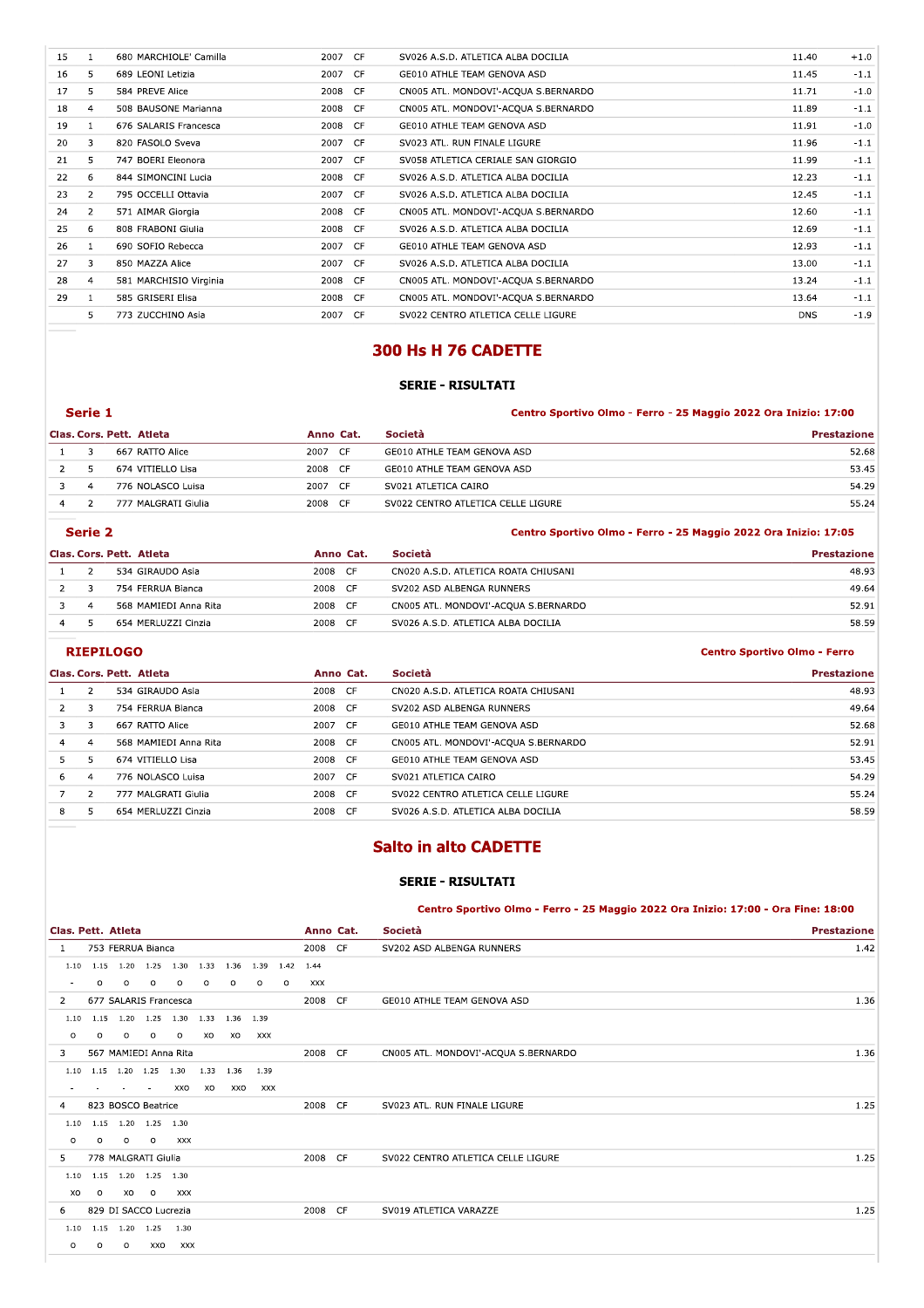| 15 |                | 680 MARCHIOLE' Camilla | 2007 CF | SV026 A.S.D. ATLETICA ALBA DOCILIA    | 11.40      | $+1.0$ |
|----|----------------|------------------------|---------|---------------------------------------|------------|--------|
| 16 | 5.             | 689 LEONI Letizia      | 2007 CF | GE010 ATHLE TEAM GENOVA ASD           | 11.45      | $-1.1$ |
| 17 | 5.             | 584 PREVE Alice        | 2008 CF | CN005 ATL. MONDOVI'-ACQUA S. BERNARDO | 11.71      | $-1.0$ |
| 18 | $\overline{4}$ | 508 BAUSONE Marianna   | 2008 CF | CN005 ATL. MONDOVI'-ACQUA S.BERNARDO  | 11.89      | $-1.1$ |
| 19 |                | 676 SALARIS Francesca  | 2008 CF | GE010 ATHLE TEAM GENOVA ASD           | 11.91      | $-1.0$ |
| 20 | 3              | 820 FASOLO Sveva       | 2007 CF | SV023 ATL. RUN FINALE LIGURE          | 11.96      | $-1.1$ |
| 21 | 5              | 747 BOERI Eleonora     | 2007 CF | SV058 ATLETICA CERIALE SAN GIORGIO    | 11.99      | $-1.1$ |
| 22 | 6              | 844 SIMONCINI Lucia    | 2008 CF | SV026 A.S.D. ATLETICA ALBA DOCILIA    | 12.23      | $-1.1$ |
| 23 | $\overline{2}$ | 795 OCCELLI Ottavia    | 2007 CF | SV026 A.S.D. ATLETICA ALBA DOCILIA    | 12.45      | $-1.1$ |
| 24 | $\overline{2}$ | 571 AIMAR Giorgia      | 2008 CF | CN005 ATL. MONDOVI'-ACQUA S.BERNARDO  | 12.60      | $-1.1$ |
| 25 | 6              | 808 FRABONI Giulia     | 2008 CF | SV026 A.S.D. ATLETICA ALBA DOCILIA    | 12.69      | $-1.1$ |
| 26 |                | 690 SOFIO Rebecca      | 2007 CF | GE010 ATHLE TEAM GENOVA ASD           | 12.93      | $-1.1$ |
| 27 | 3              | 850 MAZZA Alice        | 2007 CF | SV026 A.S.D. ATLETICA ALBA DOCILIA    | 13.00      | $-1.1$ |
| 28 | $\overline{4}$ | 581 MARCHISIO Virginia | 2008 CF | CN005 ATL. MONDOVI'-ACQUA S. BERNARDO | 13.24      | $-1.1$ |
| 29 | 1              | 585 GRISERI Elisa      | 2008 CF | CN005 ATL. MONDOVI'-ACQUA S.BERNARDO  | 13.64      | $-1.1$ |
|    | 5              | 773 ZUCCHINO Asia      | 2007 CF | SV022 CENTRO ATLETICA CELLE LIGURE    | <b>DNS</b> | $-1.9$ |
|    |                |                        |         |                                       |            |        |

# 300 Hs H 76 CADETTE

## **SERIE - RISULTATI**

| Serie 1                               |                     |         |                             | Centro Sportivo Olmo - Ferro - 25 Maggio 2022 Ora Inizio: 17:00 |  |  |
|---------------------------------------|---------------------|---------|-----------------------------|-----------------------------------------------------------------|--|--|
| Clas. Cors. Pett. Atleta<br>Anno Cat. |                     |         | Società                     | <b>Prestazione</b>                                              |  |  |
|                                       | 667 RATTO Alice     | 2007 CF | GE010 ATHLE TEAM GENOVA ASD | 52.68                                                           |  |  |
|                                       | 674 VITIELLO Lisa   | 2008 CF | GE010 ATHLE TEAM GENOVA ASD | 53.45                                                           |  |  |
|                                       | $776$ NOLACCO Luica | 2007 CE | $CUM21$ ATI ETICA CAIDO     | <b>EA 20</b>                                                    |  |  |

| Serie 2 |              |                     |         | Centro Sportivo Olmo - Ferro - 25 Maggio 2022 Ora Inizio: 17:05 |       |
|---------|--------------|---------------------|---------|-----------------------------------------------------------------|-------|
|         | <sup>2</sup> | 777 MALGRATI Giulia | 2008 CF | SV022 CENTRO ATLETICA CELLE LIGURE                              | 55.24 |
|         |              | 776 NOLASCO Luisa   | 2007 CF | SV021 ATLETICA CAIRO                                            | 54.29 |

|                | Clas. Cors. Pett. Atleta | Anno Cat.    | <b>Società</b>                       | <b>Prestazione</b> |
|----------------|--------------------------|--------------|--------------------------------------|--------------------|
|                | 534 GIRAUDO Asia         | 2008 CF      | CN020 A.S.D. ATLETICA ROATA CHIUSANI | 48.93              |
|                | 754 FERRUA Bianca        | 2008 CF      | SV202 ASD ALBENGA RUNNERS            | 49.64              |
| $\overline{a}$ | 568 MAMIEDI Anna Rita    | 2008 CF      | CN005 ATL. MONDOVI'-ACOUA S.BERNARDO | 52.91              |
|                | 654 MERLUZZI Cinzia      | 2008<br>- CF | SV026 A.S.D. ATLETICA ALBA DOCILIA   | 58.59              |

## **RIEPILOGO**

| Clas. Cors. Pett. Atleta |                |                       | Anno Cat. | Società                              | <b>Prestazione</b> |  |
|--------------------------|----------------|-----------------------|-----------|--------------------------------------|--------------------|--|
|                          |                | 534 GIRAUDO Asia      | 2008 CF   | CN020 A.S.D. ATLETICA ROATA CHIUSANI | 48.93              |  |
|                          | 3              | 754 FERRUA Bianca     | 2008 CF   | SV202 ASD ALBENGA RUNNERS            | 49.64              |  |
|                          | 3              | 667 RATTO Alice       | 2007 CF   | GE010 ATHLE TEAM GENOVA ASD          | 52.68              |  |
| 4                        | $\overline{a}$ | 568 MAMIEDI Anna Rita | 2008 CF   | CN005 ATL. MONDOVI'-ACQUA S.BERNARDO | 52.91              |  |
| 5.                       | 5              | 674 VITIELLO Lisa     | 2008 CF   | GE010 ATHLE TEAM GENOVA ASD          | 53.45              |  |
| 6                        | $\overline{a}$ | 776 NOLASCO Luisa     | 2007 CF   | SV021 ATLETICA CAIRO                 | 54.29              |  |
|                          | $\mathcal{L}$  | 777 MALGRATI Giulia   | 2008 CF   | SV022 CENTRO ATLETICA CELLE LIGURE   | 55.24              |  |
| 8                        |                | 654 MERLUZZI Cinzia   | 2008 CF   | SV026 A.S.D. ATLETICA ALBA DOCILIA   | 58.59              |  |

# **Salto in alto CADETTE**

### **SERIE - RISULTATI**

Centro Sportivo Olmo - Ferro - 25 Maggio 2022 Ora Inizio: 17:00 - Ora Fine: 18:00

**Centro Sportivo Olmo - Ferro** 

|                          | Clas. Pett. Atleta |         |                          |                                                      |           |           |         |         | Anno Cat. | Società | <b>Prestazione</b>                   |      |
|--------------------------|--------------------|---------|--------------------------|------------------------------------------------------|-----------|-----------|---------|---------|-----------|---------|--------------------------------------|------|
| -1                       |                    |         | 753 FERRUA Bianca        |                                                      |           |           |         |         | 2008 CF   |         | SV202 ASD ALBENGA RUNNERS            | 1.42 |
| 1.10                     |                    |         |                          | 1.15  1.20  1.25  1.30  1.33  1.36  1.39  1.42  1.44 |           |           |         |         |           |         |                                      |      |
| $\overline{\phantom{a}}$ | $\circ$            | $\circ$ | $\circ$                  | $\circ$                                              | $\circ$   | $\circ$   | $\circ$ | $\circ$ | XXX       |         |                                      |      |
| $\overline{2}$           |                    |         |                          | 677 SALARIS Francesca                                |           |           |         |         | 2008 CF   |         | GE010 ATHLE TEAM GENOVA ASD          | 1.36 |
| 1.10                     | 1.15               |         |                          | 1.20 1.25 1.30 1.33 1.36 1.39                        |           |           |         |         |           |         |                                      |      |
| $\circ$                  | $\circ$            | $\circ$ | $\circ$                  | $\circ$                                              | XO        | XO        | XXX     |         |           |         |                                      |      |
| 3                        |                    |         |                          | 567 MAMIEDI Anna Rita                                |           |           |         |         | 2008 CF   |         | CN005 ATL. MONDOVI'-ACQUA S.BERNARDO | 1.36 |
|                          | $1.10 \quad 1.15$  |         | 1.20 1.25 1.30           |                                                      |           | 1.33 1.36 | 1.39    |         |           |         |                                      |      |
|                          |                    |         | $\overline{\phantom{a}}$ | XXO                                                  | <b>XO</b> | XXO       | XXX     |         |           |         |                                      |      |
| 4                        |                    |         | 823 BOSCO Beatrice       |                                                      |           |           |         |         | 2008 CF   |         | SV023 ATL. RUN FINALE LIGURE         | 1.25 |
| 1.10                     | 1.15               |         | 1.20 1.25 1.30           |                                                      |           |           |         |         |           |         |                                      |      |
| $\circ$                  | $\circ$            | $\circ$ | $\circ$                  | XXX                                                  |           |           |         |         |           |         |                                      |      |
| 5                        |                    |         | 778 MALGRATI Giulia      |                                                      |           |           |         |         | 2008 CF   |         | SV022 CENTRO ATLETICA CELLE LIGURE   | 1.25 |
| 1.10                     | 1.15               |         | 1.20 1.25 1.30           |                                                      |           |           |         |         |           |         |                                      |      |
| XO                       | $\circ$            | XO      | $\circ$                  | XXX                                                  |           |           |         |         |           |         |                                      |      |
| 6                        |                    |         | 829 DI SACCO Lucrezia    |                                                      |           |           |         |         | 2008 CF   |         | SV019 ATLETICA VARAZZE               | 1.25 |
| 1.10                     | 1.15               |         | 1.20 1.25                | 1.30                                                 |           |           |         |         |           |         |                                      |      |
| O                        | 0                  | $\circ$ | XXO                      | XXX                                                  |           |           |         |         |           |         |                                      |      |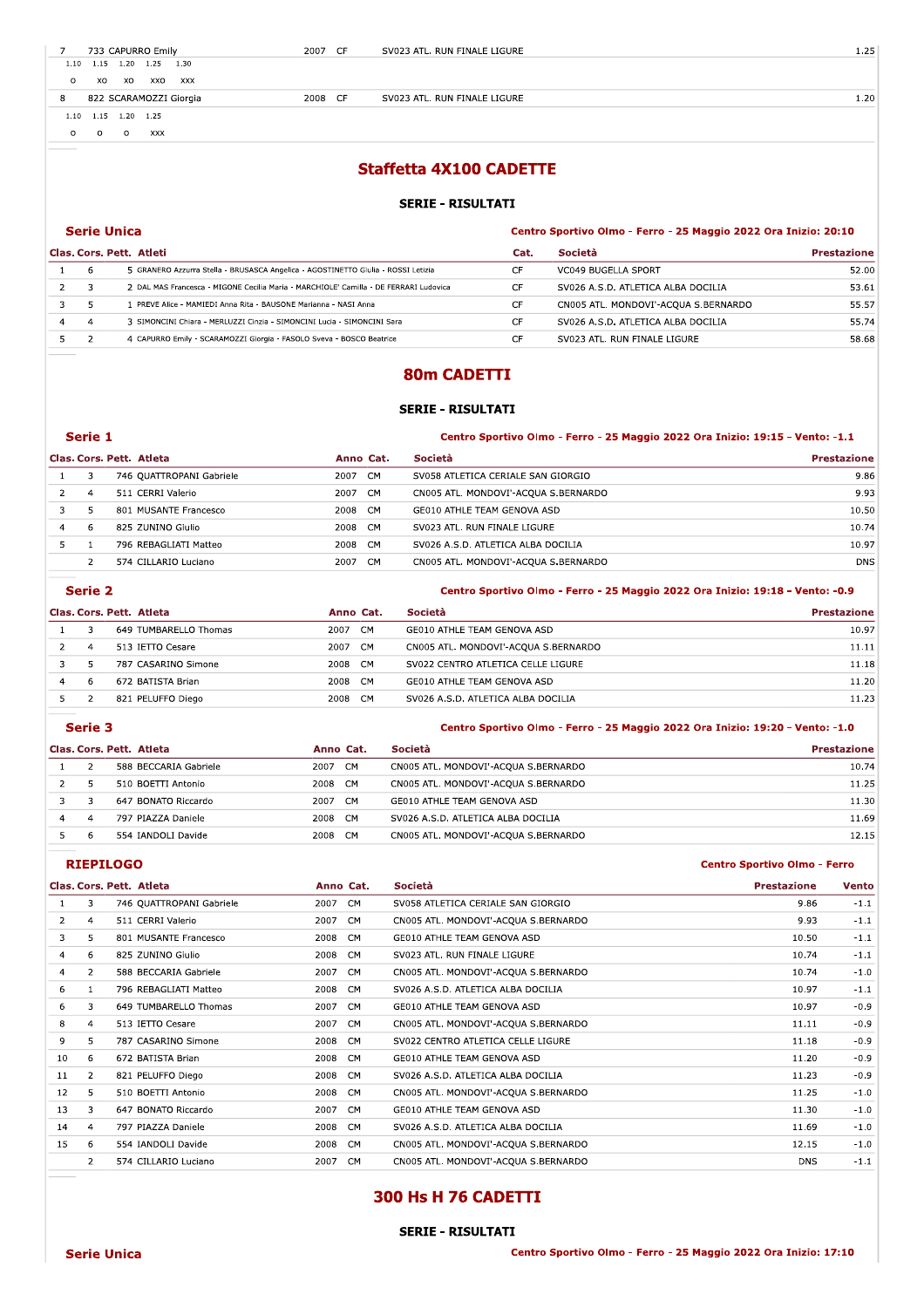| $\overline{\phantom{a}}$ | 733 CAPURRO Emily                         | 2007<br>- 65 | SV023 ATL. RUN FINALE LIGURE |
|--------------------------|-------------------------------------------|--------------|------------------------------|
|                          | 1.30<br>1.20<br>$1.10 \quad 1.15$<br>1.25 |              |                              |

8 822 SCARAMOZZI Glorgia 1991 - 2008 CH

2007 CF

5 2 4 CAPURRO EMIIY - SCARAMOZZI GIORGIA - FASOLO SVEVA - BOSCO BEATICE

SV023 ATL. RUN FINALE LIGURE 2012 1.25

2008 CF SV023 ATL. RUN FINALE LIGURE 1.20

 $110$   $112$   $150$ 

# #\$%&&'\$\$%()\*+,,(-./0110 #0230(4(23#561.13 789:8;<=:>? @8=A9B;7CB9A:DB;EFGB;H;I899B;H;JK;L?MM:B;JNJJ;E9?;O=:P:BQ;JNQRN; @F?ST@B9STU8AATVAF8A: @?AT 7B>:8AW U98SA?P:B=8 X YYZ "[\"]^-5 GRANERO Azzurra Stella - BRUSASCA Angelica - AGOSTINETTO Giulia - ROSSI Letizia F VC049 BUGELLA SPORT NATURAL SERVICE SERVICE SERVICE SERVICE SERVICE SERVICE SERVICE SERVICE SERVICE SERVICE  $\mathcal{L}$   $\Box$   $\Box$  DAL MAS Francesca - MIGONE Gecilla Maria - MARCHIOLE' Camilla - DE FERRARI LUGOVICA  $\Box$  $\mathsf{r}$  SVUZ6 A.S.D. ATLETICA ALBA DOCI 53.61 3 5 1 PREVE Alice - MAMIEDI Anna Rita - BAUSONE Marianna - NASI Anna -cf]-i^ c 4 4 3 SIMONCINI CHIATA - MERLUZZI CINZIA - SIMONCINI LUCIA - SIMONCINI SATA  $\mathsf{r}$  SVUZ6 A.S.D. ATLETICA ALBA DOCI 55.74 CF SV023 ATL. RUN FINALE LIGURE NO AND THE ST ST ST ST ST AND THE ST ST ATL ST AND THE LIGURE

### 80m CADETTI

#### SERIE - RISULTATI

|   | Serie 1 |                          |             |                                      | Centro Sportivo Olmo - Ferro - 25 Maggio 2022 Ora Inizio: 19:15 - Vento: -1.1 |  |  |  |  |
|---|---------|--------------------------|-------------|--------------------------------------|-------------------------------------------------------------------------------|--|--|--|--|
|   |         | Clas. Cors. Pett. Atleta | Anno Cat.   | <b>Società</b>                       | <b>Prestazione</b>                                                            |  |  |  |  |
|   |         | 746 OUATTROPANI Gabriele | CM.<br>2007 | SV058 ATLETICA CERIALE SAN GIORGIO   | 9.86                                                                          |  |  |  |  |
|   | 4       | 511 CERRI Valerio        | 2007<br>CM. | CN005 ATL. MONDOVI'-ACQUA S.BERNARDO | 9.93                                                                          |  |  |  |  |
|   |         | 801 MUSANTE Francesco    | 2008<br>CM. | GE010 ATHLE TEAM GENOVA ASD          | 10.50                                                                         |  |  |  |  |
| 4 | 6       | 825 ZUNINO Giulio        | 2008<br>CM  | SV023 ATL. RUN FINALE LIGURE         | 10.74                                                                         |  |  |  |  |
|   |         | 796 REBAGLIATI Matteo    | 2008<br>CM. | SV026 A.S.D. ATLETICA ALBA DOCILIA   | 10.97                                                                         |  |  |  |  |
|   |         | 574 CILLARIO Luciano     | CM.<br>2007 | CN005 ATL. MONDOVI'-ACQUA S.BERNARDO | <b>DNS</b>                                                                    |  |  |  |  |

ш.  $\sim$  alarda<br>Ali

|   | serie z |                          |                   | - Centro Sportivo Olmo - Ferro - 25 Maggio 2022 Ora Inizio: 19:18 - Vento: -0.9 |                    |
|---|---------|--------------------------|-------------------|---------------------------------------------------------------------------------|--------------------|
|   |         | Clas, Cors, Pett. Atleta | Anno Cat.         | <b>Società</b>                                                                  | <b>Prestazione</b> |
|   |         | 649 TUMBARELLO Thomas    | 2007<br>CM        | GE010 ATHLE TEAM GENOVA ASD                                                     | 10.97              |
|   | 4       | 513 IETTO Cesare         | 2007<br>CM        | CN005 ATL. MONDOVI'-ACOUA S.BERNARDO                                            | 11.11              |
|   |         | 787 CASARINO Simone      | 2008<br>CM.       | SV022 CENTRO ATLETICA CELLE LIGURE                                              | 11.18              |
| 4 | 6       | 672 BATISTA Brian        | 2008 CM           | GE010 ATHLE TEAM GENOVA ASD                                                     | 11.20              |
|   |         | 821 PELUFFO Diego        | <b>CM</b><br>2008 | SV026 A.S.D. ATLETICA ALBA DOCILIA                                              | 11.23              |

| Serie 3 |                          |           |           |                                      | Centro Sportivo Olmo - Ferro - 25 Maggio 2022 Ora Inizio: 19:20 - Vento: -1.0 |
|---------|--------------------------|-----------|-----------|--------------------------------------|-------------------------------------------------------------------------------|
|         | Clas, Cors, Pett, Atleta | Anno Cat. |           | <b>Società</b>                       | <b>Prestazione</b>                                                            |
|         | 588 BECCARIA Gabriele    | 2007      | CM        | CN005 ATL. MONDOVI'-ACQUA S.BERNARDO | 10.74                                                                         |
|         | 510 BOETTI Antonio       | 2008      | CM        | CN005 ATL. MONDOVI'-ACQUA S.BERNARDO | 11.25                                                                         |
|         | 647 BONATO Riccardo      | 2007      | - CM      | GE010 ATHLE TEAM GENOVA ASD          | 11.30                                                                         |
|         | 797 PIAZZA Daniele       | 2008      | CM        | SV026 A.S.D. ATLETICA ALBA DOCILIA   | 11.69                                                                         |
| 6       | 554 IANDOLI Davide       | 2008      | <b>CM</b> | CN005 ATL. MONDOVI'-ACQUA S.BERNARDO | 12.15                                                                         |

 $\mathcal{L}^{\mathcal{L}}$  $\overline{a}$ 

 $\sim$   $\sim$ 

 $\overline{a}$ 

## rosult and the control of the control of the control of the control of the control of the control of the control of the control of the control of the control of the control of the control of the control of the control of t

 $\mathbb{Z}^2$  and  $\mathbb{Z}^2$ 

ш.

|    |                | Clas, Cors, Pett. Atleta | Anno Cat. |           | Società                              | <b>Prestazione</b> | Vento  |
|----|----------------|--------------------------|-----------|-----------|--------------------------------------|--------------------|--------|
|    | 3              | 746 QUATTROPANI Gabriele | 2007      | CM        | SV058 ATLETICA CERIALE SAN GIORGIO   | 9.86               | $-1.1$ |
| 2  | $\overline{4}$ | 511 CERRI Valerio        | 2007      | <b>CM</b> | CN005 ATL. MONDOVI'-ACQUA S.BERNARDO | 9.93               | $-1.1$ |
| 3  | 5              | 801 MUSANTE Francesco    | 2008      | <b>CM</b> | GE010 ATHLE TEAM GENOVA ASD          | 10.50              | $-1.1$ |
| 4  | 6              | 825 ZUNINO Giulio        | 2008      | CM        | SV023 ATL. RUN FINALE LIGURE         | 10.74              | $-1.1$ |
| 4  | $\overline{2}$ | 588 BECCARIA Gabriele    | 2007      | CM        | CN005 ATL. MONDOVI'-ACQUA S.BERNARDO | 10.74              | $-1.0$ |
| 6  | $\mathbf{1}$   | 796 REBAGLIATI Matteo    | 2008      | CM        | SV026 A.S.D. ATLETICA ALBA DOCILIA   | 10.97              | $-1.1$ |
| 6  | 3              | 649 TUMBARELLO Thomas    | 2007      | CM        | GE010 ATHLE TEAM GENOVA ASD          | 10.97              | $-0.9$ |
| 8  | $\overline{4}$ | 513 IETTO Cesare         | 2007      | CM        | CN005 ATL. MONDOVI'-ACQUA S.BERNARDO | 11.11              | $-0.9$ |
| 9  | 5              | 787 CASARINO Simone      | 2008      | CM        | SV022 CENTRO ATLETICA CELLE LIGURE   | 11.18              | $-0.9$ |
| 10 | 6              | 672 BATISTA Brian        | 2008      | CM        | GE010 ATHLE TEAM GENOVA ASD          | 11.20              | $-0.9$ |
| 11 | 2              | 821 PELUFFO Diego        | 2008      | CM        | SV026 A.S.D. ATLETICA ALBA DOCILIA   | 11.23              | $-0.9$ |
| 12 | 5              | 510 BOETTI Antonio       | 2008      | CM        | CN005 ATL. MONDOVI'-ACQUA S.BERNARDO | 11.25              | $-1.0$ |
| 13 | 3              | 647 BONATO Riccardo      | 2007      | CM        | GE010 ATHLE TEAM GENOVA ASD          | 11.30              | $-1.0$ |
| 14 | 4              | 797 PIAZZA Daniele       | 2008      | CM        | SV026 A.S.D. ATLETICA ALBA DOCILIA   | 11.69              | $-1.0$ |
| 15 | 6              | 554 IANDOLI Davide       | 2008      | CM        | CN005 ATL. MONDOVI'-ACQUA S.BERNARDO | 12.15              | $-1.0$ |
|    | $\overline{2}$ | 574 CILLARIO Luciano     | 2007      | CM        | CN005 ATL. MONDOVI'-ACQUA S.BERNARDO | <b>DNS</b>         | $-1.1$ |

# 300 Hs H 76 CADETTI

SERIE - RISULTATI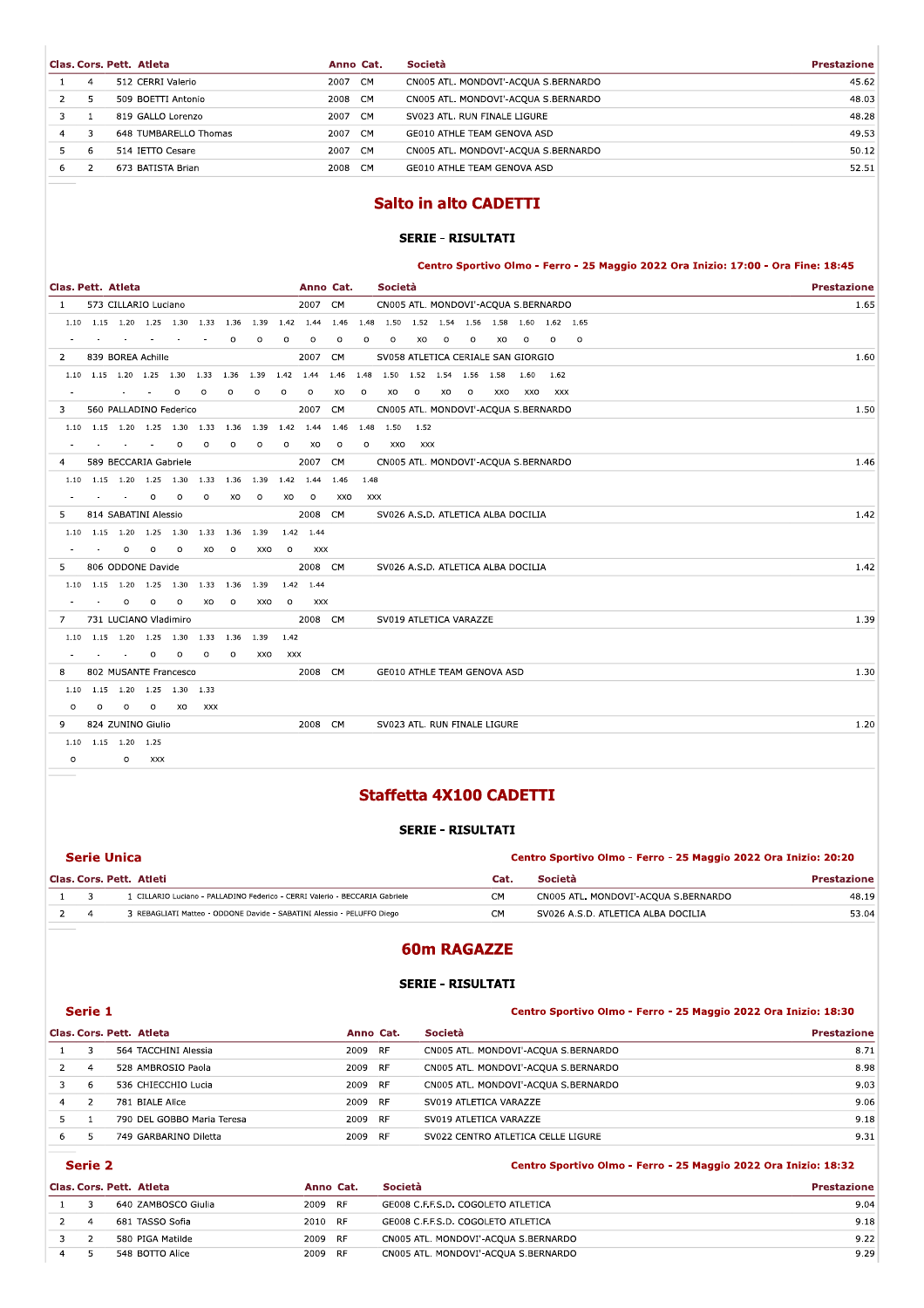|   |    | Clas, Cors, Pett. Atleta | Anno Cat. | <b>Società</b>                       | <b>Prestazione</b> |
|---|----|--------------------------|-----------|--------------------------------------|--------------------|
|   | 4  | 512 CERRI Valerio        | 2007 CM   | CN005 ATL. MONDOVI'-ACQUA S.BERNARDO | 45.62              |
|   |    | 509 BOETTI Antonio       | 2008 CM   | CN005 ATL. MONDOVI'-ACOUA S.BERNARDO | 48.03              |
|   |    | 819 GALLO Lorenzo        | 2007 CM   | SV023 ATL. RUN FINALE LIGURE         | 48.28              |
| 4 |    | 648 TUMBARELLO Thomas    | 2007 CM   | GE010 ATHLE TEAM GENOVA ASD          | 49.53              |
|   | -6 | 514 IETTO Cesare         | 2007 CM   | CN005 ATL. MONDOVI'-ACQUA S.BERNARDO | 50.12              |
| 6 |    | 673 BATISTA Brian        | 2008 CM   | GE010 ATHLE TEAM GENOVA ASD          | 52.51              |
|   |    |                          |           |                                      |                    |

# **Salto in alto CADETTI**

### **SERIE - RISULTATI**

Centro Sportivo Olmo - Ferro - 25 Maggio 2022 Ora Inizio: 17:00 - Ora Fine: 18:45

| Clas. Pett. Atleta |                     |                          |                      |                                                |         |         |                                                            |           | Anno Cat. |         |         | Società                                                     |         |         |         |     |           |            |         | <b>Prestazione</b> |      |
|--------------------|---------------------|--------------------------|----------------------|------------------------------------------------|---------|---------|------------------------------------------------------------|-----------|-----------|---------|---------|-------------------------------------------------------------|---------|---------|---------|-----|-----------|------------|---------|--------------------|------|
| $\sim$ 1           |                     |                          | 573 CILLARIO Luciano |                                                |         |         |                                                            |           | 2007 CM   |         |         | CN005 ATL. MONDOVI'-ACQUA S.BERNARDO                        |         |         |         |     |           |            |         |                    | 1.65 |
|                    |                     |                          |                      | 1.10 1.15 1.20 1.25 1.30 1.33 1.36 1.39        |         |         |                                                            |           |           |         |         | 1.42 1.44 1.46 1.48 1.50 1.52 1.54 1.56 1.58 1.60 1.62 1.65 |         |         |         |     |           |            |         |                    |      |
|                    |                     | $\sim$                   | $\sim$               | $\sim$                                         |         | $\circ$ | $\circ$                                                    | $\circ$   | $\circ$   | $\circ$ | $\circ$ | $\circ$                                                     | XO      | $\circ$ | $\circ$ | XO  | $\circ$   | $\circ$    | $\circ$ |                    |      |
| $\mathbf{2}$       |                     |                          | 839 BOREA Achille    |                                                |         |         |                                                            |           | 2007 CM   |         |         | SV058 ATLETICA CERIALE SAN GIORGIO                          |         |         |         |     |           |            |         |                    | 1.60 |
|                    |                     |                          |                      |                                                |         |         | 1.10  1.15  1.20  1.25  1.30  1.33  1.36  1.39  1.42  1.44 |           |           |         |         | 1.46 1.48 1.50 1.52 1.54 1.56 1.58                          |         |         |         |     | 1.60 1.62 |            |         |                    |      |
|                    |                     |                          | And Contractor       | $\circ$                                        | $\circ$ | $\circ$ | O                                                          | $\circ$   | $\circ$   | XO      | $\circ$ | XO                                                          | $\circ$ | XO      | $\circ$ | XXO | XXO       | <b>XXX</b> |         |                    |      |
| 3                  |                     |                          |                      | 560 PALLADINO Federico                         |         |         |                                                            |           | 2007 CM   |         |         | CN005 ATL. MONDOVI'-ACQUA S.BERNARDO                        |         |         |         |     |           |            |         |                    | 1.50 |
|                    |                     |                          |                      | 1.10 1.15 1.20 1.25 1.30 1.33 1.36 1.39        |         |         |                                                            | 1.42 1.44 |           |         |         | 1.46 1.48 1.50 1.52                                         |         |         |         |     |           |            |         |                    |      |
|                    |                     | and the contract of      |                      | $\circ$                                        | $\circ$ | $\circ$ | $\circ$                                                    | $\circ$   | XO.       | $\circ$ | $\circ$ | XXO                                                         | XXX     |         |         |     |           |            |         |                    |      |
| 4                  |                     |                          |                      | 589 BECCARIA Gabriele                          |         |         |                                                            |           | 2007 CM   |         |         | CN005 ATL. MONDOVI'-ACQUA S.BERNARDO                        |         |         |         |     |           |            |         |                    | 1.46 |
|                    |                     |                          |                      | 1.10 1.15 1.20 1.25 1.30 1.33 1.36 1.39        |         |         |                                                            | 1.42 1.44 |           | 1.46    | 1.48    |                                                             |         |         |         |     |           |            |         |                    |      |
|                    |                     | <b>Contract</b>          | $\circ$              | $\circ$                                        | $\circ$ | XO      | $\circ$                                                    | XO        | $\circ$   | XXO     | XXX     |                                                             |         |         |         |     |           |            |         |                    |      |
| 5.                 |                     |                          | 814 SABATINI Alessio |                                                |         |         |                                                            |           | 2008 CM   |         |         | SV026 A.S.D. ATLETICA ALBA DOCILIA                          |         |         |         |     |           |            |         |                    | 1.42 |
|                    |                     |                          |                      | 1.10 1.15 1.20 1.25 1.30 1.33 1.36 1.39        |         |         |                                                            |           | 1.42 1.44 |         |         |                                                             |         |         |         |     |           |            |         |                    |      |
|                    |                     | $\circ$                  | $\circ$              | $\circ$                                        | XO      | $\circ$ | XXO                                                        | $\circ$   | XXX       |         |         |                                                             |         |         |         |     |           |            |         |                    |      |
| 5.                 |                     |                          | 806 ODDONE Davide    |                                                |         |         |                                                            |           | 2008 CM   |         |         | SV026 A.S.D. ATLETICA ALBA DOCILIA                          |         |         |         |     |           |            |         |                    | 1.42 |
|                    |                     |                          |                      | 1.10 1.15 1.20 1.25 1.30 1.33 1.36 1.39        |         |         |                                                            |           | 1.42 1.44 |         |         |                                                             |         |         |         |     |           |            |         |                    |      |
|                    | $\sim$              | $\circ$                  | $\circ$              | $\circ$                                        |         | XO O    | XXO                                                        |           | O XXX     |         |         |                                                             |         |         |         |     |           |            |         |                    |      |
| 7                  |                     |                          |                      | 731 LUCIANO Vladimiro                          |         |         |                                                            |           | 2008 CM   |         |         | SV019 ATLETICA VARAZZE                                      |         |         |         |     |           |            |         |                    | 1.39 |
|                    |                     |                          |                      | 1.10  1.15  1.20  1.25  1.30  1.33  1.36  1.39 |         |         |                                                            | 1.42      |           |         |         |                                                             |         |         |         |     |           |            |         |                    |      |
|                    |                     | <b>Contract Contract</b> | $\circ$              | $\circ$                                        | $\circ$ | $\circ$ | XXO                                                        | XXX       |           |         |         |                                                             |         |         |         |     |           |            |         |                    |      |
| 8                  |                     |                          |                      | 802 MUSANTE Francesco                          |         |         |                                                            |           | 2008 CM   |         |         | GE010 ATHLE TEAM GENOVA ASD                                 |         |         |         |     |           |            |         |                    | 1.30 |
|                    |                     |                          |                      | 1.10 1.15 1.20 1.25 1.30 1.33                  |         |         |                                                            |           |           |         |         |                                                             |         |         |         |     |           |            |         |                    |      |
| $\Omega$           | $\circ$             |                          | $0\qquad 0$          |                                                | XO XXX  |         |                                                            |           |           |         |         |                                                             |         |         |         |     |           |            |         |                    |      |
| 9                  |                     |                          | 824 ZUNINO Giulio    |                                                |         |         |                                                            |           | 2008 CM   |         |         | SV023 ATL. RUN FINALE LIGURE                                |         |         |         |     |           |            |         |                    | 1.20 |
|                    | 1.10 1.15 1.20 1.25 |                          |                      |                                                |         |         |                                                            |           |           |         |         |                                                             |         |         |         |     |           |            |         |                    |      |
| $\circ$            |                     |                          | O XXX                |                                                |         |         |                                                            |           |           |         |         |                                                             |         |         |         |     |           |            |         |                    |      |

# **Staffetta 4X100 CADETTI**

#### **SERIE - RISULTATI**

|  | Serie Unica                                                                 |                | Centro Sportivo Olmo - Ferro - 25 Maggio 2022 Ora Inizio: 20:20 |                    |  |
|--|-----------------------------------------------------------------------------|----------------|-----------------------------------------------------------------|--------------------|--|
|  | Clas. Cors. Pett. Atleti                                                    | Cat.           | Società                                                         | <b>Prestazione</b> |  |
|  | 1 CILLARIO Luciano - PALLADINO Federico - CERRI Valerio - BECCARIA Gabriele | CM.            | CN005 ATL. MONDOVI'-ACOUA S.BERNARDO                            | 48.19              |  |
|  | 3 REBAGLIATI Matteo - ODDONE Davide - SABATINI Alessio - PELUFFO Diego      | C <sub>M</sub> | SV026 A.S.D. ATLETICA ALBA DOCILIA                              | 53.04              |  |

# **60m RAGAZZE**

## **SERIE - RISULTATI**

### Centro Sportivo Olmo - Ferro - 25 Maggio 2022 Ora Inizio: 18:30

|    |              | Clas. Cors. Pett. Atleta   | Anno Cat.         | Società                              | <b>Prestazione</b> |
|----|--------------|----------------------------|-------------------|--------------------------------------|--------------------|
|    | 3            | 564 TACCHINI Alessia       | 2009 RF           | CN005 ATL. MONDOVI'-ACQUA S.BERNARDO | 8.71               |
|    |              | 528 AMBROSIO Paola         | 2009<br><b>RF</b> | CN005 ATL. MONDOVI'-ACOUA S.BERNARDO | 8.98               |
|    | $\mathbf{b}$ | 536 CHIECCHIO Lucia        | 2009 RF           | CN005 ATL. MONDOVI'-ACQUA S.BERNARDO | 9.03               |
|    |              | 781 BIALE Alice            | 2009 RF           | SV019 ATLETICA VARAZZE               | 9.06               |
|    |              | 790 DEL GOBBO Maria Teresa | 2009 RF           | SV019 ATLETICA VARAZZE               | 9.18               |
| 6. |              | 749 GARBARINO Diletta      | 2009<br>RF        | SV022 CENTRO ATLETICA CELLE LIGURE   | 9.31               |

### Serie 2

Serie 1

|    | Centro Sportivo Olmo - Ferro - 25 Maggio 2022 Ora Inizio: 18:32 |  |
|----|-----------------------------------------------------------------|--|
| æ. | <b>Drectazione</b>                                              |  |

|  | Clas, Cors, Pett, Atleta | Anno Cat. | <b>Società</b>                       | <b>Prestazione</b> |
|--|--------------------------|-----------|--------------------------------------|--------------------|
|  | 640 ZAMBOSCO Giulia      | 2009 RF   | GE008 C.F.F.S.D. COGOLETO ATLETICA   | 9.04               |
|  | 681 TASSO Sofia          | 2010 RF   | GE008 C.F.F.S.D. COGOLETO ATLETICA   | 9.18               |
|  | 580 PIGA Matilde         | 2009 RF   | CN005 ATL. MONDOVI'-ACQUA S.BERNARDO | 9.22               |
|  | 548 BOTTO Alice          | 2009 RF   | CN005 ATL. MONDOVI'-ACQUA S.BERNARDO | 9.29               |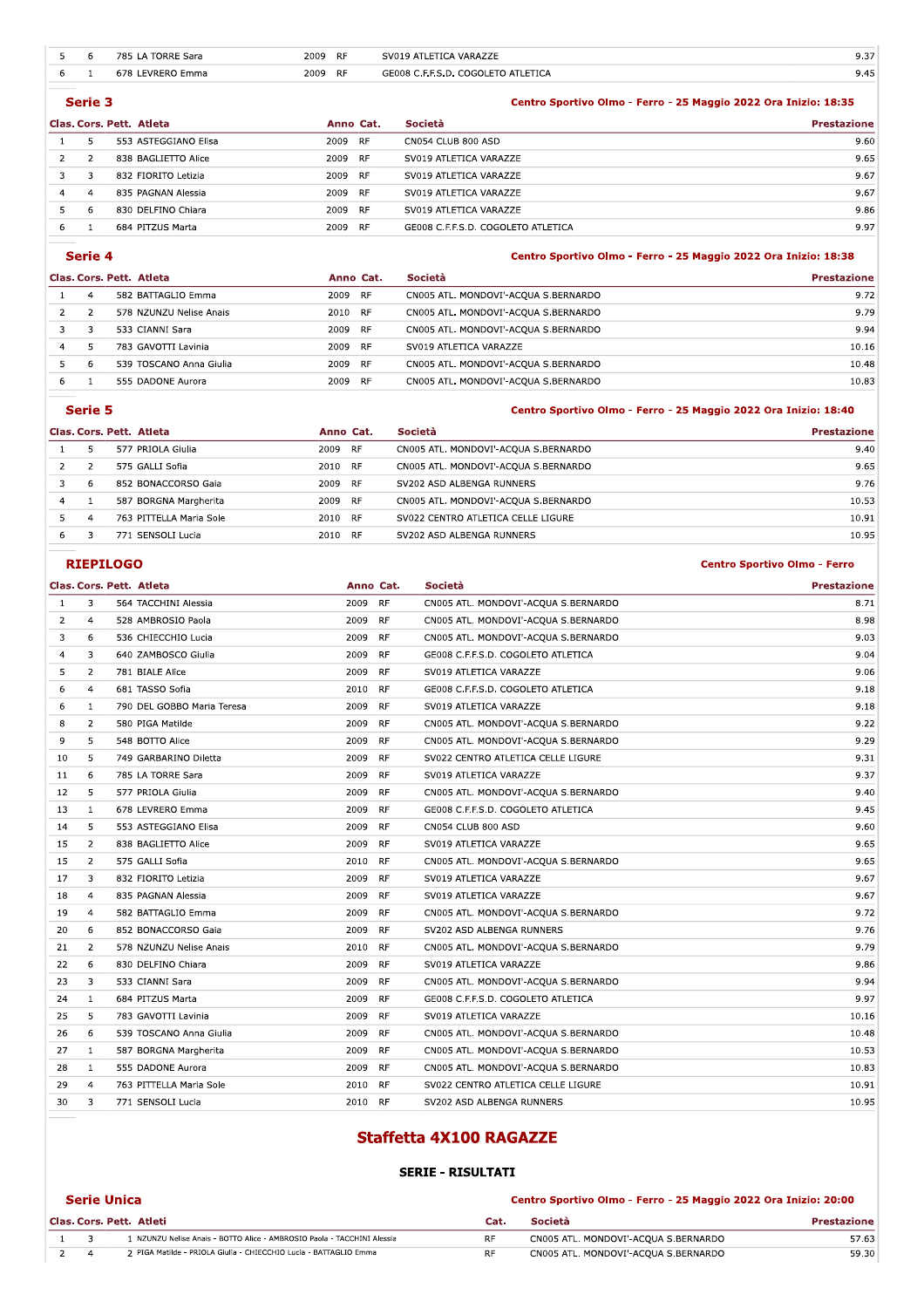| 5             | 6             | 785 LA TORRE Sara        | 2009<br>RF. |           | SV019 ATLETICA VARAZZE             | 9.37                                                            |
|---------------|---------------|--------------------------|-------------|-----------|------------------------------------|-----------------------------------------------------------------|
| 6             |               | 678 LEVRERO Emma         | 2009 RF     |           | GE008 C.F.F.S.D. COGOLETO ATLETICA | 9.45                                                            |
|               | Serie 3       |                          |             |           |                                    | Centro Sportivo Olmo - Ferro - 25 Maggio 2022 Ora Inizio: 18:35 |
|               |               | Clas. Cors. Pett. Atleta |             | Anno Cat. | Società                            | <b>Prestazione</b>                                              |
|               | 5.            | 553 ASTEGGIANO Elisa     | 2009 RF     |           | CN054 CLUB 800 ASD                 | 9.60                                                            |
| $\mathcal{P}$ | $\mathcal{P}$ | 838 BAGLIETTO Alice      | 2009 RF     |           | SV019 ATLETICA VARAZZE             | 9.65                                                            |
| 3             | 3             | 832 FIORITO Letizia      | 2009 RF     |           | SV019 ATLETICA VARAZZE             | 9.67                                                            |
| 4             | 4             | 835 PAGNAN Alessia       | 2009 RF     |           | SV019 ATLETICA VARAZZE             | 9.67                                                            |
| 5.            | 6             | 830 DELFINO Chiara       | 2009 RF     |           | SV019 ATLETICA VARAZZE             | 9.86                                                            |
| 6             |               | 684 PITZUS Marta         | 2009        | <b>RF</b> | GE008 C.F.F.S.D. COGOLETO ATLETICA | 9.97                                                            |
|               |               |                          |             |           |                                    |                                                                 |

#### Serie 4

#### Centro Sportivo Olmo - Ferro - 25 Maggio 2022 Ora Inizio: 18:38

| Clas. Cors. Pett. Atleta |   |                         | Anno Cat.         | Società                              | <b>Prestazione</b> |
|--------------------------|---|-------------------------|-------------------|--------------------------------------|--------------------|
|                          | 4 | 582 BATTAGLIO Emma      | 2009 RF           | CN005 ATL. MONDOVI'-ACQUA S.BERNARDO | 9.72               |
|                          |   | 578 NZUNZU Nelise Anais | 2010 RF           | CN005 ATL. MONDOVI'-ACOUA S.BERNARDO | 9.79               |
|                          |   | 533 CIANNI Sara         | 2009 RF           | CN005 ATL. MONDOVI'-ACQUA S.BERNARDO | 9.94               |
|                          |   | 783 GAVOTTI Lavinia     | 2009 RF           | SV019 ATLETICA VARAZZE               | 10.16              |
|                          |   | 539 TOSCANO Anna Giulia | 2009 RF           | CN005 ATL. MONDOVI'-ACOUA S.BERNARDO | 10.48              |
| 6                        |   | 555 DADONE Aurora       | 2009<br><b>RF</b> | CN005 ATL. MONDOVI'-ACQUA S.BERNARDO | 10.83              |

|    | Serie 5 |                          |         |           | Centro Sportivo Olmo - Ferro - 25 Maggio 2022 Ora Inizio: 18:40 |                    |  |
|----|---------|--------------------------|---------|-----------|-----------------------------------------------------------------|--------------------|--|
|    |         | Clas. Cors. Pett. Atleta |         | Anno Cat. | <b>Società</b>                                                  | <b>Prestazione</b> |  |
|    |         | 577 PRIOLA Giulia        | 2009 RF |           | CN005 ATL. MONDOVI'-ACOUA S.BERNARDO                            | 9.40               |  |
|    |         | 575 GALLI Sofia          | 2010 RF |           | CN005 ATL. MONDOVI'-ACQUA S.BERNARDO                            | 9.65               |  |
|    | 6       | 852 BONACCORSO Gaia      | 2009 RF |           | SV202 ASD ALBENGA RUNNERS                                       | 9.76               |  |
| 4  |         | 587 BORGNA Margherita    | 2009 RF |           | CN005 ATL. MONDOVI'-ACQUA S.BERNARDO                            | 10.53              |  |
|    | 4       | 763 PITTELLA Maria Sole  | 2010 RF |           | SV022 CENTRO ATLETICA CELLE LIGURE                              | 10.91              |  |
| 6. |         | 771 SENSOLI Lucia        | 2010 RF |           | SV202 ASD ALBENGA RUNNERS                                       | 10.95              |  |

#### **RIEPILOGO**

**Serie Unica** 

#### Clas. Cors. Pett. Atleta Anno Cat. Società **Prestazione** 564 TACCHINI Alessia 2009 **RF** CN005 ATL, MONDOVI'-ACOUA S.BERNARDO 8.71  $\mathbf{1}$  $\overline{3}$  $\overline{2}$ 528 AMBROSIO Paola 2009 **RF** CN005 ATL. MONDOVI'-ACOUA S.BERNARDO 8.98  $\overline{4}$  $\overline{\mathbf{3}}$  $\overline{6}$ 536 CHIECCHIO Lucia 2009  $RF$ CN005 ATL. MONDOVI'-ACQUA S.BERNARDO  $9.03$  $\overline{4}$  $\overline{\mathbf{3}}$ 640 ZAMBOSCO Giulia 2009  $RF$ GE008 C.F.F.S.D. COGOLETO ATLETICA  $9.04$ 5  $\overline{2}$ 781 BIALE Alice 2009  $RF$ SV019 ATLETICA VARAZZE  $9.06$  $\overline{6}$  $\overline{4}$ 681 TASSO Sofia 2010  $RF$ GE008 C.F.F.S.D. COGOLETO ATLETICA 9.18  $\overline{6}$ 790 DEL GOBBO Maria Teresa  $RF$ SV019 ATLETICA VARAZZE  $\overline{1}$ 2009 9.18  $\overline{\phantom{a}}$  $\overline{2}$ 2009  $RF$ CN005 ATL. MONDOVI'-ACQUA S.BERNARDO  $9.22$ 580 PIGA Matilde  $\overline{9}$  $\overline{5}$ 2009  $RF$ CN005 ATL. MONDOVI'-ACQUA S.BERNARDO  $9.29$ 548 BOTTO Alice  $10$  $\overline{\mathbf{5}}$ 749 GARBARINO Diletta 2009  $RF$ SV022 CENTRO ATLETICA CELLE LIGURE 9.31  $11$  $\overline{6}$ 785 LA TORRE Sara 2009 **RF** SV019 ATLETICA VARAZZE 9.37 577 PRIOLA Giulia  $12$  $\overline{\phantom{a}}$ 2009 **RF** CN005 ATL. MONDOVI'-ACQUA S.BERNARDO  $9.40$  $13$  $\overline{1}$ 678 LEVRERO Emma 2009 **RF** GE008 C.F.F.S.D. COGOLETO ATLETICA  $9.45$  $14$  $\overline{5}$ 553 ASTEGGIANO Elisa 2009 **RF** CN054 CLUB 800 ASD 9.60 15  $\overline{z}$ 838 BAGLIETTO Alice 2009 **RF** SV019 ATLETICA VARAZZE 9.65 15  $\overline{2}$ 575 GALLI Sofia 2010 **RF** CN005 ATL. MONDOVI'-ACOUA S.BERNARDO 9.65 **RF** SV019 ATLETICA VARAZZE 9.67 17  $\overline{3}$ 832 FIORITO Letizia 2009 **RF** 9.67 18  $\overline{4}$ 835 PAGNAN Alessia 2009 SV019 ATLETICA VARAZZE  $\overline{4}$ 582 BATTAGLIO Emma 2009 **RF** CN005 ATL. MONDOVI'-ACOUA S.BERNARDO  $9.72$ 19 20 6 852 BONACCORSO Gaia 2009 **RF** SV202 ASD ALBENGA RUNNERS 9.76  $\overline{2}$  $RF$ 9.79  $21$ 578 NZUNZU Nelise Anais 2010 CN005 ATL, MONDOVI'-ACOUA S.BERNARDO  $22$ 830 DELFINO Chiara  $RF$ 9.86 6 2009 SV019 ATLETICA VARAZZE 23  $\overline{\mathbf{3}}$ 533 CIANNI Sara 2009  $RF$ CN005 ATL. MONDOVI'-ACQUA S.BERNARDO 9.94  $\overline{24}$ 684 PITZUS Marta 2009  $RF$ GE008 C.F.F.S.D. COGOLETO ATLETICA 9.97  $\mathbf{1}$  $25$  $\overline{5}$ 783 GAVOTTI Lavinia 2009 **RF** SV019 ATLETICA VARAZZE 10.16 539 TOSCANO Anna Giulia 2009  $RF$ CN005 ATL. MONDOVI'-ACQUA S.BERNARDO 26  $\overline{6}$ 10.48  $27$ 587 BORGNA Margherita 2009 RF CN005 ATL. MONDOVI'-ACQUA S.BERNARDO 10.53  $\mathbf{1}$ 28 555 DADONE Aurora 2009 RF CN005 ATL. MONDOVI'-ACQUA S.BERNARDO 10.83  $\mathbf{1}$  $29$  $\overline{A}$ 763 PITTELLA Maria Sole 2010 RF SV022 CENTRO ATLETICA CELLE LIGURE 10.91  $30$  $\overline{3}$ 771 SENSOLI Lucia 2010 RF SV202 ASD ALBENGA RUNNERS 10.95

## **Staffetta 4X100 RAGAZZE**

#### **SERIE - RISULTATI**

#### Centro Sportivo Olmo - Ferro - 25 Maggio 2022 Ora Inizio: 20:00

|  | Clas. Cors. Pett. Atleti                                                | Cat. | Società                              | Prestazione |
|--|-------------------------------------------------------------------------|------|--------------------------------------|-------------|
|  | l NZUNZU Nelise Anais - BOTTO Alice - AMBROSIO Paola - TACCHINI Alessia |      | CN005 ATL. MONDOVI'-ACOUA S.BERNARDO | 57.63       |
|  | 2 PIGA Matilde - PRIOLA Giulia - CHIECCHIO Lucia - BATTAGLIO Emma       | RF   | CN005 ATL. MONDOVI'-ACOUA S.BERNARDO | 59.30       |

#### **Centro Sportivo Olmo - Ferro**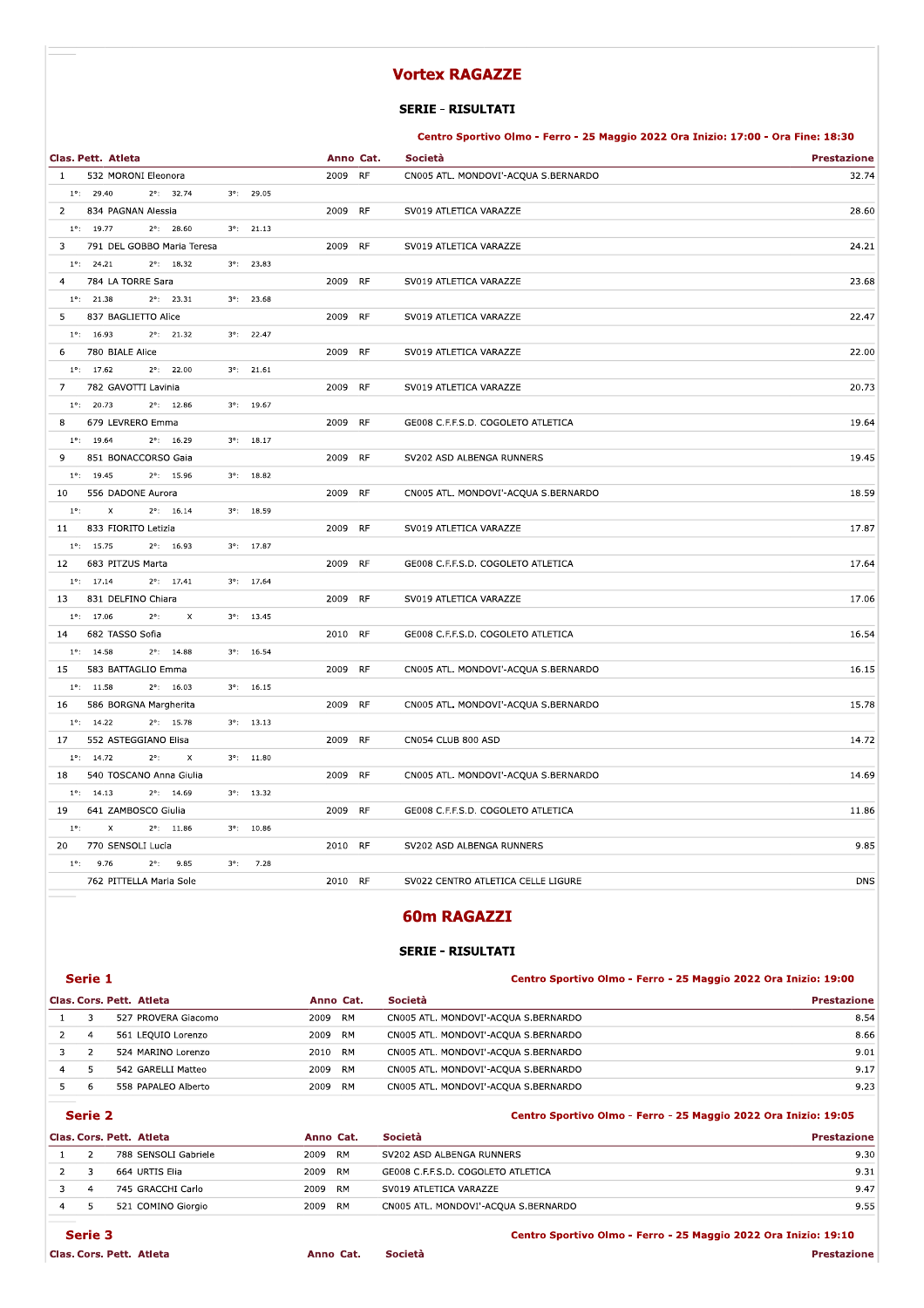# VOITEX KAGAZZE

|                                                                               | <b>Vortex RAGAZZE</b>                                                             |                    |
|-------------------------------------------------------------------------------|-----------------------------------------------------------------------------------|--------------------|
|                                                                               | <b>SERIE - RISULTATI</b>                                                          |                    |
|                                                                               | Centro Sportivo Olmo - Ferro - 25 Maggio 2022 Ora Inizio: 17:00 - Ora Fine: 18:30 |                    |
| Clas. Pett. Atleta                                                            | Anno Cat.<br>Società                                                              | <b>Prestazione</b> |
| 532 MORONI Eleonora<br>-1                                                     | <b>RF</b><br>2009<br>CN005 ATL. MONDOVI'-ACQUA S.BERNARDO                         | 32.74              |
| $1^{\circ}$ : 29.40<br>$2^{\circ}$ : 32.74<br>$3^{\circ}$ : 29.05             |                                                                                   |                    |
| $\overline{2}$<br>834 PAGNAN Alessia                                          | <b>RF</b><br>2009<br>SV019 ATLETICA VARAZZE                                       | 28.60              |
| $1^{\circ}$ : 19.77<br>$2^{\circ}$ : 28.60<br>$3^{\circ}$ : 21.13             |                                                                                   |                    |
| 791 DEL GOBBO Maria Teresa<br>3                                               | 2009 RF<br>SV019 ATLETICA VARAZZE                                                 | 24.21              |
| $2^{\circ}$ : 18.32<br>$3^{\circ}$ : 23.83<br>$1^{\circ}$ : 24.21             |                                                                                   |                    |
| 784 LA TORRE Sara<br>$\overline{a}$                                           | 2009 RF<br>SV019 ATLETICA VARAZZE                                                 | 23.68              |
| $1^{\circ}$ : 21.38<br>$2^{\circ}$ : 23.31<br>$3^{\circ}$ : 23.68             |                                                                                   |                    |
| 837 BAGLIETTO Alice<br>5                                                      | 2009<br>RF<br>SV019 ATLETICA VARAZZE                                              | 22.47              |
| $1^{\circ}$ : 16.93<br>$2^{\circ}$ : 21.32<br>$3^{\circ}$ : 22.47             |                                                                                   |                    |
| 780 BIALE Alice<br>6                                                          | <b>RF</b><br>2009<br>SV019 ATLETICA VARAZZE                                       | 22.00              |
| $1^{\circ}$ : 17.62<br>$2^{\circ}$ : 22.00<br>$3^{\circ}$ : 21.61             |                                                                                   |                    |
| 7<br>782 GAVOTTI Lavinia                                                      | 2009<br>RF<br>SV019 ATLETICA VARAZZE                                              | 20.73              |
| $1^{\circ}$ : 20.73<br>$2^{\circ}$ : 12.86<br>$3^{\circ}$ : 19.67             |                                                                                   |                    |
| 679 LEVRERO Emma<br>8                                                         | RF<br>2009<br>GE008 C.F.F.S.D. COGOLETO ATLETICA                                  | 19.64              |
| $1^{\circ}$ : 19.64<br>$2^{\circ}$ : 16.29<br>$3^{\circ}$ : 18.17             |                                                                                   |                    |
| 9<br>851 BONACCORSO Gaia                                                      | 2009<br><b>RF</b><br>SV202 ASD ALBENGA RUNNERS                                    | 19.45              |
| $1^{\circ}$ : 19.45<br>$2^{\circ}$ : 15.96<br>$3^{\circ}$ : 18.82             |                                                                                   |                    |
| 556 DADONE Aurora<br>10                                                       | 2009<br>RF<br>CN005 ATL. MONDOVI'-ACQUA S.BERNARDO                                | 18.59              |
| $1^{\circ}$ :<br>$2^{\circ}$ : 16.14<br>$3^{\circ}$ : 18.59<br>х              |                                                                                   |                    |
| 833 FIORITO Letizia<br>11                                                     | <b>RF</b><br>2009<br>SV019 ATLETICA VARAZZE                                       | 17.87              |
| $1^{\circ}$ : 15.75<br>$2^{\circ}$ : 16.93<br>$3^{\circ}$ : 17.87             |                                                                                   |                    |
| 683 PITZUS Marta<br>12                                                        | 2009 RF<br>GE008 C.F.F.S.D. COGOLETO ATLETICA                                     | 17.64              |
| $1^{\circ}$ : 17.14<br>$2^{\circ}$ : 17.41<br>$3^{\circ}$ : 17.64             |                                                                                   |                    |
| 831 DELFINO Chiara<br>13                                                      | 2009 RF<br>SV019 ATLETICA VARAZZE                                                 | 17.06              |
| $1^{\circ}$ : 17.06<br>x<br>$3^{\circ}$ : 13.45<br>$2^{\circ}$ :              |                                                                                   |                    |
| 682 TASSO Sofia<br>14                                                         | 2010 RF<br>GE008 C.F.F.S.D. COGOLETO ATLETICA                                     | 16.54              |
| $1^{\circ}$ : 14.58<br>$2^{\circ}$ : 14.88<br>$3^{\circ}$ : 16.54             |                                                                                   |                    |
| 583 BATTAGLIO Emma<br>15                                                      | 2009<br>RF<br>CN005 ATL. MONDOVI'-ACQUA S.BERNARDO                                | 16.15              |
| $1^{\circ}$ : 11.58<br>$2^{\circ}$ : 16.03<br>$3^{\circ}$ : 16.15             |                                                                                   |                    |
| 586 BORGNA Margherita<br>16                                                   | <b>RF</b><br>2009<br>CN005 ATL. MONDOVI'-ACQUA S.BERNARDO                         | 15.78              |
| $1^{\circ}$ : 14.22<br>$2^{\circ}$ : 15.78<br>$3^{\circ}$ : 13.13             |                                                                                   |                    |
| 552 ASTEGGIANO Elisa<br>17                                                    | 2009<br>CN054 CLUB 800 ASD<br>RF                                                  | 14.72              |
| $\pmb{\times}$<br>$1^{\circ}$ : 14.72<br>$2^{\circ}$ :<br>$3^{\circ}$ : 11.80 |                                                                                   |                    |
| 540 TOSCANO Anna Giulia<br>18                                                 | 2009 RF<br>CN005 ATL. MONDOVI'-ACQUA S.BERNARDO                                   | 14.69              |
| $1^{\circ}$ : 14.13<br>$2^{\circ}$ : 14.69<br>$3^{\circ}$ : 13.32             |                                                                                   |                    |
| 19 641 ZAMBOSCO Giulia                                                        | 2009 RF<br>GE008 C.F.F.S.D. COGOLETO ATLETICA                                     | 11.86              |
| $1^{\circ}$ :<br>х<br>$2^{\circ}$ : 11.86<br>$3^{\circ}$ : 10.86              |                                                                                   |                    |
| 20 770 SENSOLI Lucia                                                          | 2010 RF<br>SV202 ASD ALBENGA RUNNERS                                              | 9.85               |
| $1^{\circ}$ : 9.76<br>$2^{\circ}$ : 9.85<br>7.28<br>$3^\circ$ :               |                                                                                   |                    |
| 762 PITTELLA Maria Sole                                                       | 2010 RF<br>SV022 CENTRO ATLETICA CELLE LIGURE                                     | <b>DNS</b>         |
|                                                                               |                                                                                   |                    |

# bum KAGAZZI

#### **SERIE - RISULTATI**

|                                                                            |                          |                          |            | <b>60m RAGAZZI</b>                   |                    |  |  |
|----------------------------------------------------------------------------|--------------------------|--------------------------|------------|--------------------------------------|--------------------|--|--|
|                                                                            | <b>SERIE - RISULTATI</b> |                          |            |                                      |                    |  |  |
| Serie 1<br>Centro Sportivo Olmo - Ferro - 25 Maggio 2022 Ora Inizio: 19:00 |                          |                          |            |                                      |                    |  |  |
|                                                                            |                          |                          |            |                                      |                    |  |  |
|                                                                            |                          | Clas. Cors. Pett. Atleta | Anno Cat.  | Società                              | <b>Prestazione</b> |  |  |
|                                                                            | 3                        | 527 PROVERA Giacomo      | 2009 RM    | CN005 ATL. MONDOVI'-ACQUA S.BERNARDO | 8.54               |  |  |
|                                                                            | 4                        | 561 LEQUIO Lorenzo       | RM<br>2009 | CN005 ATL. MONDOVI'-ACQUA S.BERNARDO | 8.66               |  |  |
| 3                                                                          |                          | 524 MARINO Lorenzo       | 2010 RM    | CN005 ATL. MONDOVI'-ACQUA S.BERNARDO | 9.01               |  |  |
| 4                                                                          |                          | 542 GARELLI Matteo       | 2009<br>RM | CN005 ATL. MONDOVI'-ACQUA S.BERNARDO | 9.17               |  |  |

| $\overline{2}$ | $\overline{4}$ | 561 LEQUIO Lorenzo       | 2009 RM    | CN005 ATL. MONDOVI'-ACQUA S.BERNARDO                            | 8.66               |
|----------------|----------------|--------------------------|------------|-----------------------------------------------------------------|--------------------|
| 3              | 2              | 524 MARINO Lorenzo       | 2010<br>RM | CN005 ATL. MONDOVI'-ACQUA S.BERNARDO                            | 9.01               |
| 4              | 5              | 542 GARELLI Matteo       | 2009<br>RM | CN005 ATL. MONDOVI'-ACQUA S.BERNARDO                            | 9.17               |
| 5              | 6              | 558 PAPALEO Alberto      | 2009<br>RM | CN005 ATL. MONDOVI'-ACQUA S.BERNARDO                            | 9.23               |
|                | Serie 2        |                          |            | Centro Sportivo Olmo - Ferro - 25 Maggio 2022 Ora Inizio: 19:05 |                    |
|                |                | Clas. Cors. Pett. Atleta | Anno Cat.  | Società                                                         | <b>Prestazione</b> |
|                | $\overline{2}$ | 788 SENSOLI Gabriele     | 2009 RM    | SV202 ASD ALBENGA RUNNERS                                       | 9.30               |
| $\overline{2}$ | 3              | 664 URTIS Elia           | 2009 RM    | GE008 C.F.F.S.D. COGOLETO ATLETICA                              | 9.31               |
| 3              | $\overline{4}$ | 745 GRACCHI Carlo        | 2009 RM    | SV019 ATLETICA VARAZZE                                          | 9.47               |
| 4              | 5              | 521 COMINO Giorgio       | 2009 RM    | CN005 ATL. MONDOVI'-ACQUA S.BERNARDO                            | 9.55               |
|                | Serie 3        |                          |            | Centro Sportivo Olmo - Ferro - 25 Maggio 2022 Ora Inizio: 19:10 |                    |
|                |                | Clas. Cors. Pett. Atleta | Anno Cat.  | Società                                                         | <b>Prestazione</b> |